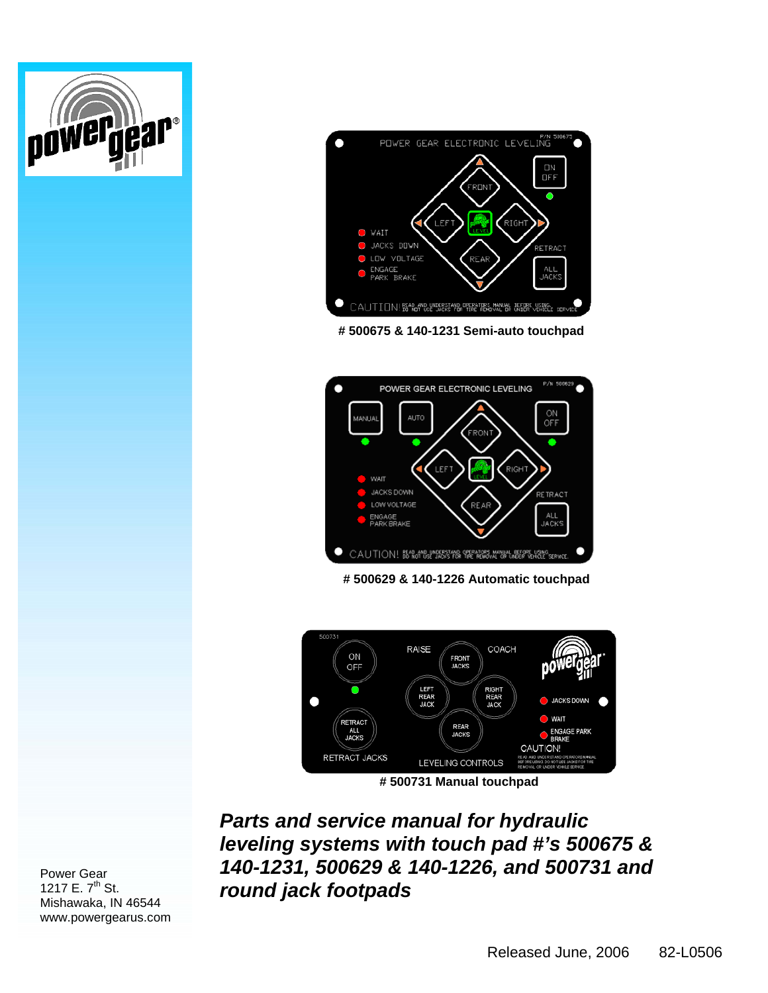

**# 500675 & 140-1231 Semi-auto touchpad** 



**# 500629 & 140-1226 Automatic touchpad** 



*Parts and service manual for hydraulic leveling systems with touch pad #'s 500675 & 140-1231, 500629 & 140-1226, and 500731 and round jack footpads* 



owergea

 $\mathbf{P}^{\circledast}$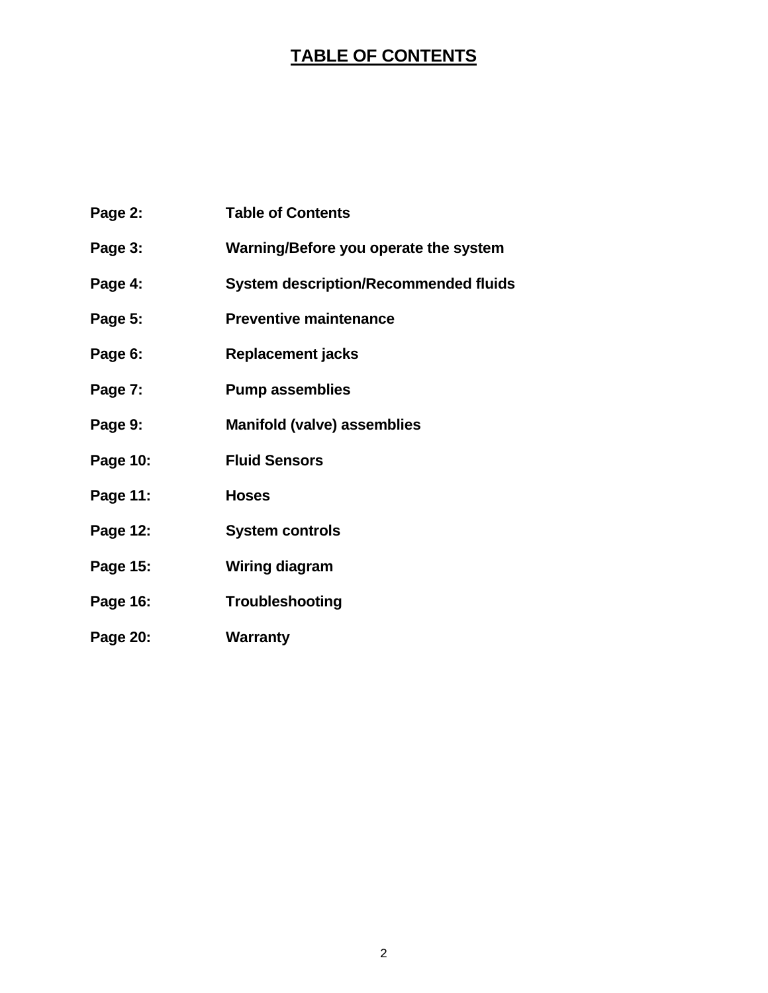#### **TABLE OF CONTENTS**

| Page 2:  | <b>Table of Contents</b>                     |
|----------|----------------------------------------------|
| Page 3:  | Warning/Before you operate the system        |
| Page 4:  | <b>System description/Recommended fluids</b> |
| Page 5:  | <b>Preventive maintenance</b>                |
| Page 6:  | <b>Replacement jacks</b>                     |
| Page 7:  | <b>Pump assemblies</b>                       |
| Page 9:  | <b>Manifold (valve) assemblies</b>           |
| Page 10: | <b>Fluid Sensors</b>                         |
| Page 11: | <b>Hoses</b>                                 |
| Page 12: | <b>System controls</b>                       |
| Page 15: | <b>Wiring diagram</b>                        |
| Page 16: | Troubleshooting                              |
| Page 20: | <b>Warranty</b>                              |
|          |                                              |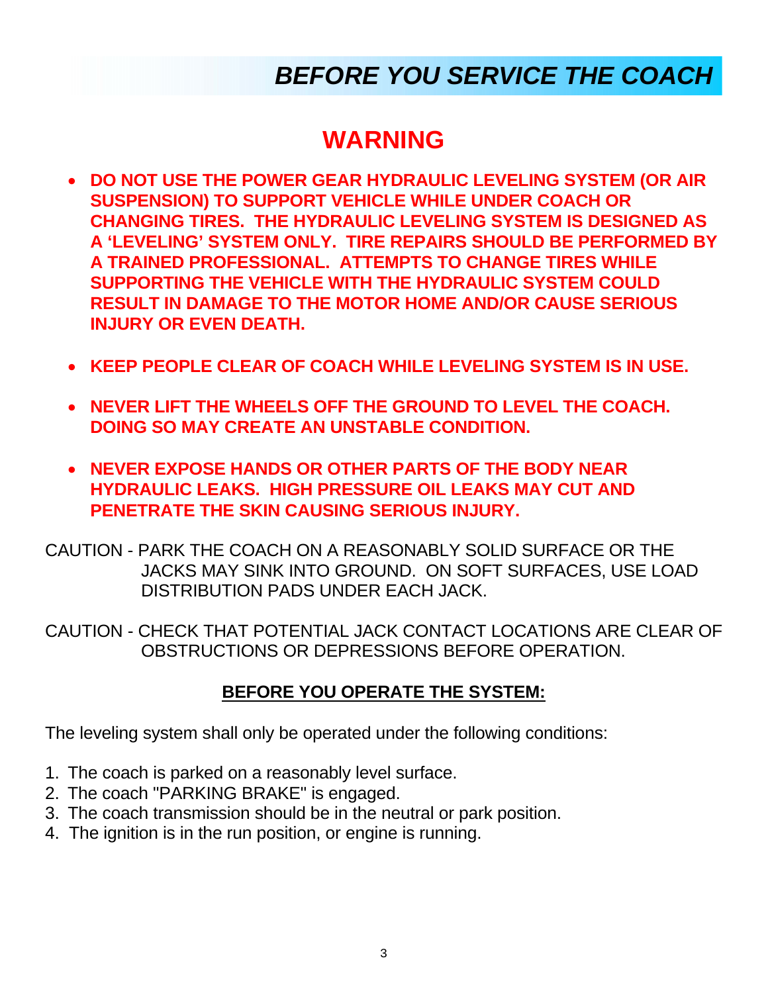## *BEFORE YOU SERVICE THE COACH*

#### **WARNING**

- **DO NOT USE THE POWER GEAR HYDRAULIC LEVELING SYSTEM (OR AIR SUSPENSION) TO SUPPORT VEHICLE WHILE UNDER COACH OR CHANGING TIRES. THE HYDRAULIC LEVELING SYSTEM IS DESIGNED AS A 'LEVELING' SYSTEM ONLY. TIRE REPAIRS SHOULD BE PERFORMED BY A TRAINED PROFESSIONAL. ATTEMPTS TO CHANGE TIRES WHILE SUPPORTING THE VEHICLE WITH THE HYDRAULIC SYSTEM COULD RESULT IN DAMAGE TO THE MOTOR HOME AND/OR CAUSE SERIOUS INJURY OR EVEN DEATH.**
- **KEEP PEOPLE CLEAR OF COACH WHILE LEVELING SYSTEM IS IN USE.**
- **NEVER LIFT THE WHEELS OFF THE GROUND TO LEVEL THE COACH. DOING SO MAY CREATE AN UNSTABLE CONDITION.**
- **NEVER EXPOSE HANDS OR OTHER PARTS OF THE BODY NEAR HYDRAULIC LEAKS. HIGH PRESSURE OIL LEAKS MAY CUT AND PENETRATE THE SKIN CAUSING SERIOUS INJURY.**
- CAUTION PARK THE COACH ON A REASONABLY SOLID SURFACE OR THE JACKS MAY SINK INTO GROUND. ON SOFT SURFACES, USE LOAD DISTRIBUTION PADS UNDER EACH JACK.
- CAUTION CHECK THAT POTENTIAL JACK CONTACT LOCATIONS ARE CLEAR OF OBSTRUCTIONS OR DEPRESSIONS BEFORE OPERATION.

#### **BEFORE YOU OPERATE THE SYSTEM:**

The leveling system shall only be operated under the following conditions:

- 1. The coach is parked on a reasonably level surface.
- 2. The coach "PARKING BRAKE" is engaged.
- 3. The coach transmission should be in the neutral or park position.
- 4. The ignition is in the run position, or engine is running.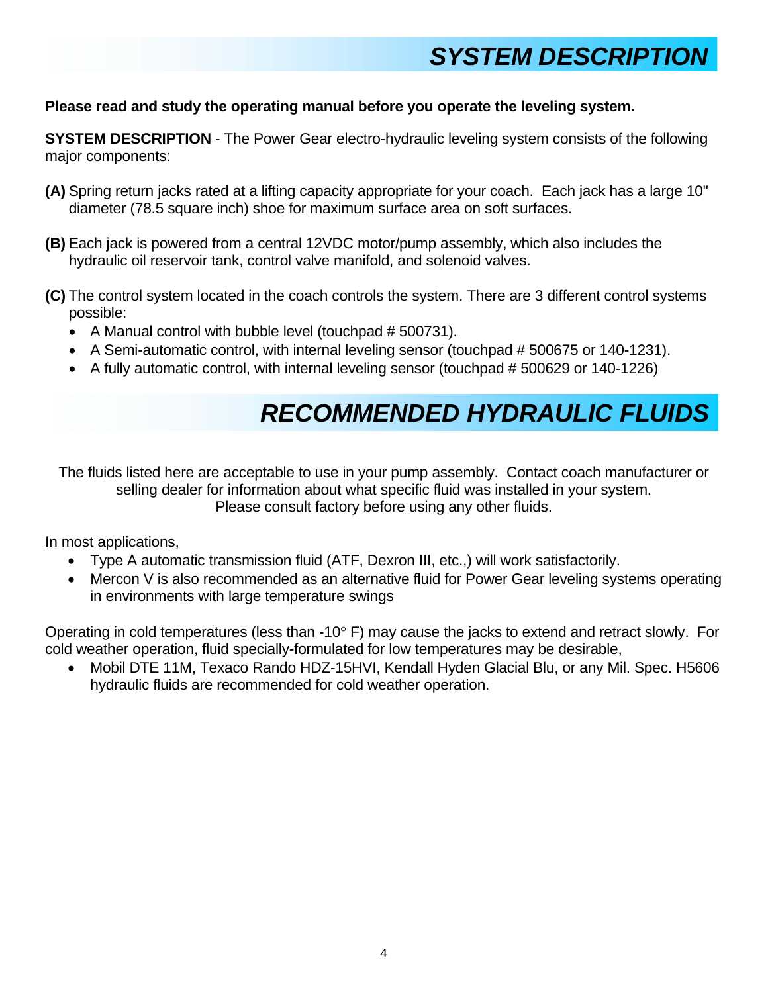## *SYSTEM DESCRIPTION*

#### **Please read and study the operating manual before you operate the leveling system.**

**SYSTEM DESCRIPTION** - The Power Gear electro-hydraulic leveling system consists of the following major components:

- **(A)** Spring return jacks rated at a lifting capacity appropriate for your coach. Each jack has a large 10" diameter (78.5 square inch) shoe for maximum surface area on soft surfaces.
- **(B)** Each jack is powered from a central 12VDC motor/pump assembly, which also includes the hydraulic oil reservoir tank, control valve manifold, and solenoid valves.
- **(C)** The control system located in the coach controls the system. There are 3 different control systems possible:
	- A Manual control with bubble level (touchpad # 500731).
	- A Semi-automatic control, with internal leveling sensor (touchpad # 500675 or 140-1231).
	- A fully automatic control, with internal leveling sensor (touchpad # 500629 or 140-1226)

#### *RECOMMENDED HYDRAULIC FLUIDS*

The fluids listed here are acceptable to use in your pump assembly. Contact coach manufacturer or selling dealer for information about what specific fluid was installed in your system. Please consult factory before using any other fluids.

In most applications,

- Type A automatic transmission fluid (ATF, Dexron III, etc.,) will work satisfactorily.
- Mercon V is also recommended as an alternative fluid for Power Gear leveling systems operating in environments with large temperature swings

Operating in cold temperatures (less than -10 $^{\circ}$  F) may cause the jacks to extend and retract slowly. For cold weather operation, fluid specially-formulated for low temperatures may be desirable,

• Mobil DTE 11M, Texaco Rando HDZ-15HVI, Kendall Hyden Glacial Blu, or any Mil. Spec. H5606 hydraulic fluids are recommended for cold weather operation.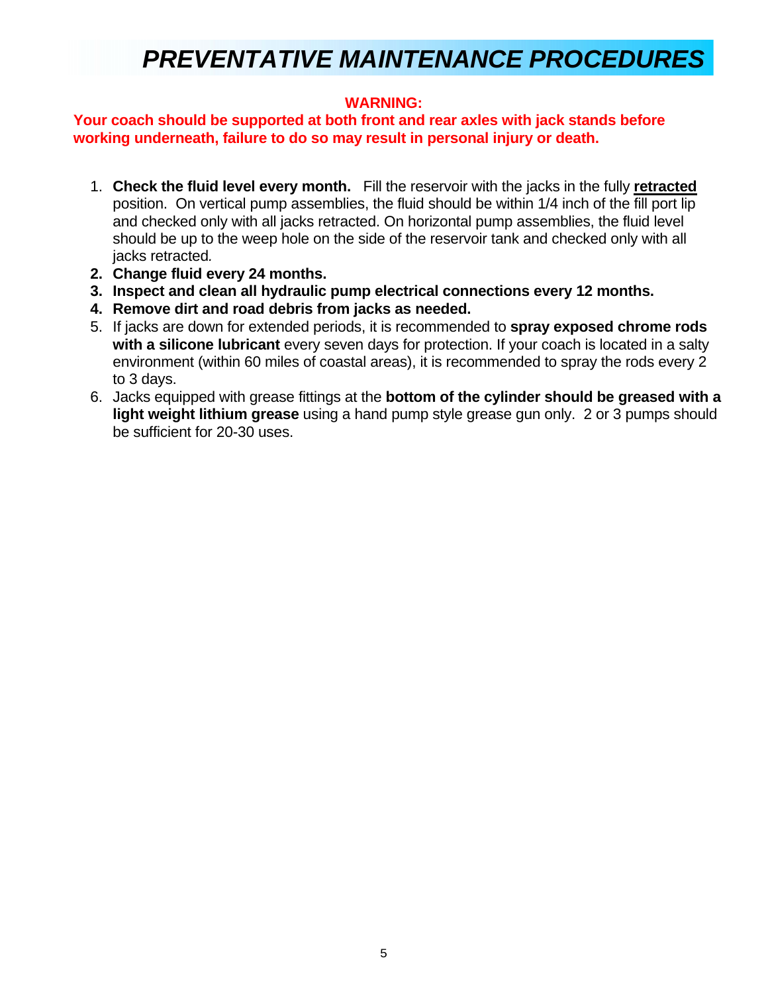### *PREVENTATIVE MAINTENANCE PROCEDURES*

#### **WARNING:**

#### **Your coach should be supported at both front and rear axles with jack stands before working underneath, failure to do so may result in personal injury or death.**

- 1. **Check the fluid level every month.** Fill the reservoir with the jacks in the fully **retracted** position. On vertical pump assemblies, the fluid should be within 1/4 inch of the fill port lip and checked only with all jacks retracted. On horizontal pump assemblies, the fluid level should be up to the weep hole on the side of the reservoir tank and checked only with all jacks retracted*.*
- **2. Change fluid every 24 months.**
- **3. Inspect and clean all hydraulic pump electrical connections every 12 months.**
- **4. Remove dirt and road debris from jacks as needed.**
- 5. If jacks are down for extended periods, it is recommended to **spray exposed chrome rods with a silicone lubricant** every seven days for protection. If your coach is located in a salty environment (within 60 miles of coastal areas), it is recommended to spray the rods every 2 to 3 days.
- 6. Jacks equipped with grease fittings at the **bottom of the cylinder should be greased with a light weight lithium grease** using a hand pump style grease gun only. 2 or 3 pumps should be sufficient for 20-30 uses.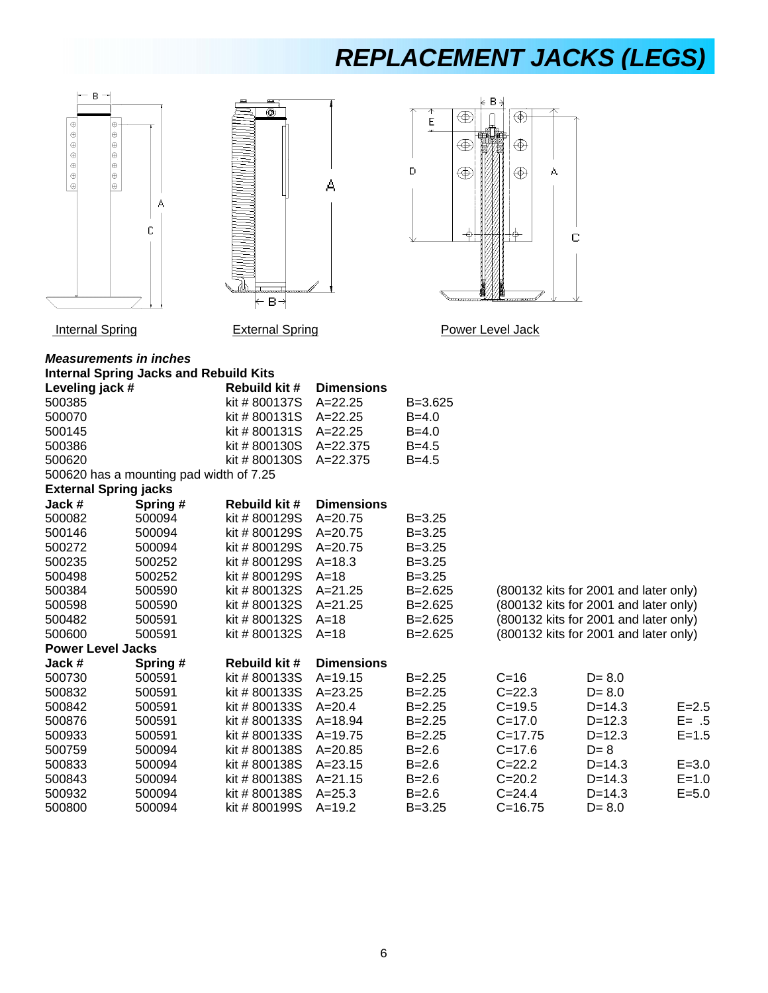## *REPLACEMENT JACKS (LEGS)*

|  | в |          |  |   |  |
|--|---|----------|--|---|--|
|  |   |          |  |   |  |
|  |   | $\oplus$ |  |   |  |
|  |   |          |  |   |  |
|  |   | $\oplus$ |  |   |  |
|  |   |          |  |   |  |
|  |   | $\oplus$ |  |   |  |
|  |   |          |  |   |  |
|  |   | $\oplus$ |  |   |  |
|  |   |          |  |   |  |
|  |   |          |  | д |  |
|  |   |          |  |   |  |
|  |   |          |  | C |  |
|  |   |          |  |   |  |
|  |   |          |  |   |  |
|  |   |          |  |   |  |
|  |   |          |  |   |  |
|  |   |          |  |   |  |
|  |   |          |  |   |  |
|  |   |          |  |   |  |
|  |   |          |  |   |  |



Eщ

 $\overline{\circledcirc}$ 



#### Internal Spring **External Spring Community Community** Power Level Jack

*Measurements in inches*  **Internal Spring Jacks and Rebuild Kits** 

| Leveling jack #          |                                         | <b>Rebuild kit #</b> | <b>Dimensions</b> |             |             |                                       |           |
|--------------------------|-----------------------------------------|----------------------|-------------------|-------------|-------------|---------------------------------------|-----------|
| 500385                   |                                         | kit #800137S         | $A = 22.25$       | $B = 3.625$ |             |                                       |           |
| 500070                   |                                         | kit #800131S         | $A = 22.25$       | $B = 4.0$   |             |                                       |           |
| 500145                   |                                         | kit #800131S         | $A = 22.25$       | $B = 4.0$   |             |                                       |           |
| 500386                   |                                         | kit # 800130S        | A=22.375          | $B = 4.5$   |             |                                       |           |
| 500620                   |                                         | kit #800130S         | $A = 22.375$      | $B = 4.5$   |             |                                       |           |
|                          | 500620 has a mounting pad width of 7.25 |                      |                   |             |             |                                       |           |
|                          | <b>External Spring jacks</b>            |                      |                   |             |             |                                       |           |
| Jack #                   | Spring #                                | <b>Rebuild kit #</b> | <b>Dimensions</b> |             |             |                                       |           |
| 500082                   | 500094                                  | kit # 800129S        | $A = 20.75$       | $B = 3.25$  |             |                                       |           |
| 500146                   | 500094                                  | kit # 800129S        | $A = 20.75$       | $B = 3.25$  |             |                                       |           |
| 500272                   | 500094                                  | kit # 800129S        | $A = 20.75$       | $B = 3.25$  |             |                                       |           |
| 500235                   | 500252                                  | kit # 800129S        | $A = 18.3$        | $B = 3.25$  |             |                                       |           |
| 500498                   | 500252                                  | kit # 800129S        | $A=18$            | $B = 3.25$  |             |                                       |           |
| 500384                   | 500590                                  | kit # 800132S        | $A = 21.25$       | $B = 2.625$ |             | (800132 kits for 2001 and later only) |           |
| 500598                   | 500590                                  | kit # 800132S        | A=21.25           | $B = 2.625$ |             | (800132 kits for 2001 and later only) |           |
| 500482                   | 500591                                  | kit # 800132S        | $A=18$            | $B = 2.625$ |             | (800132 kits for 2001 and later only) |           |
| 500600                   | 500591                                  | kit # 800132S        | $A=18$            | $B = 2.625$ |             | (800132 kits for 2001 and later only) |           |
| <b>Power Level Jacks</b> |                                         |                      |                   |             |             |                                       |           |
| Jack #                   | Spring#                                 | <b>Rebuild kit #</b> | <b>Dimensions</b> |             |             |                                       |           |
| 500730                   | 500591                                  | kit #800133S         | $A = 19.15$       | $B = 2.25$  | $C=16$      | $D = 8.0$                             |           |
| 500832                   | 500591                                  | kit #800133S         | $A = 23.25$       | $B = 2.25$  | $C = 22.3$  | $D = 8.0$                             |           |
| 500842                   | 500591                                  | kit # 800133S        | $A = 20.4$        | $B = 2.25$  | $C = 19.5$  | $D = 14.3$                            | $E = 2.5$ |
| 500876                   | 500591                                  | kit #800133S         | $A = 18.94$       | $B = 2.25$  | $C = 17.0$  | $D = 12.3$                            | $E = .5$  |
| 500933                   | 500591                                  | kit #800133S         | $A = 19.75$       | $B = 2.25$  | $C = 17.75$ | $D = 12.3$                            | $E = 1.5$ |
| 500759                   | 500094                                  | kit # 800138S        | $A = 20.85$       | $B = 2.6$   | $C = 17.6$  | $D=8$                                 |           |
| 500833                   | 500094                                  | kit # 800138S        | $A = 23.15$       | $B = 2.6$   | $C = 22.2$  | $D = 14.3$                            | $E = 3.0$ |
| 500843                   | 500094                                  | kit #800138S         | $A = 21.15$       | $B = 2.6$   | $C = 20.2$  | $D = 14.3$                            | $E = 1.0$ |
| 500932                   | 500094                                  | kit #800138S         | $A = 25.3$        | $B = 2.6$   | $C = 24.4$  | $D = 14.3$                            | $E = 5.0$ |
| 500800                   | 500094                                  | kit # 800199S        | $A = 19.2$        | $B = 3.25$  | $C = 16.75$ | $D = 8.0$                             |           |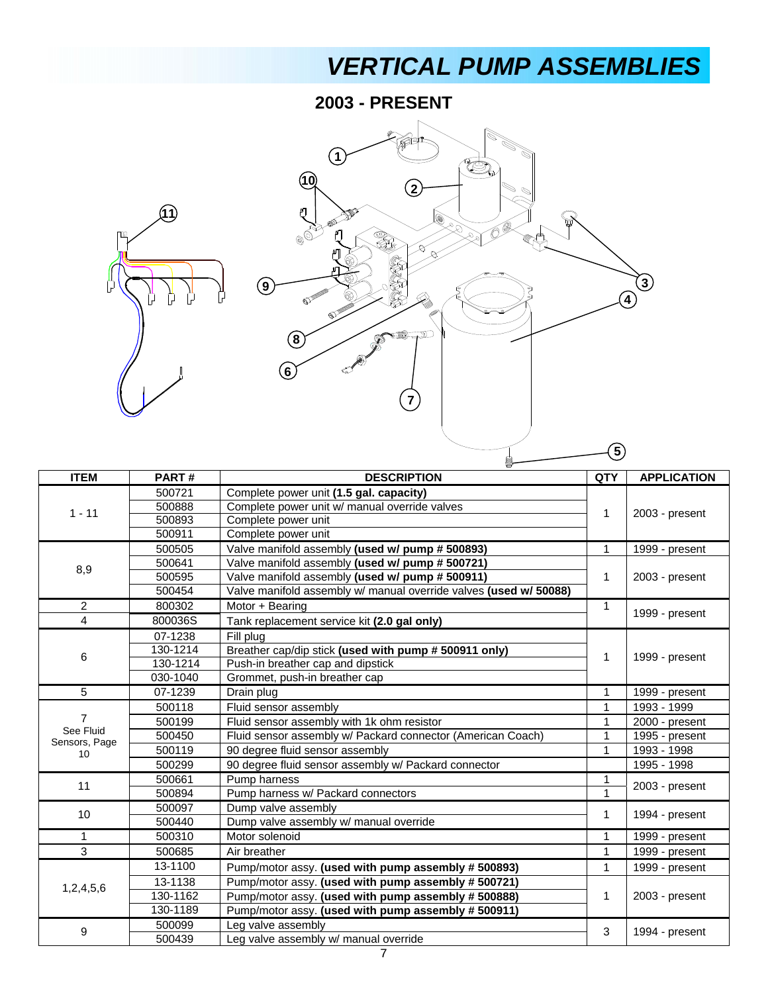## *VERTICAL PUMP ASSEMBLIES*

**2003 - PRESENT**





| <b>ITEM</b>                | PART#    | <b>DESCRIPTION</b>                                                | <b>QTY</b>   | <b>APPLICATION</b> |  |
|----------------------------|----------|-------------------------------------------------------------------|--------------|--------------------|--|
|                            | 500721   | Complete power unit (1.5 gal. capacity)                           |              |                    |  |
| $1 - 11$                   | 500888   | Complete power unit w/ manual override valves                     |              | 2003 - present     |  |
|                            | 500893   | Complete power unit                                               | 1            |                    |  |
|                            | 500911   | Complete power unit                                               |              |                    |  |
|                            | 500505   | Valve manifold assembly (used w/ pump # 500893)                   | $\mathbf{1}$ | 1999 - present     |  |
| 8,9                        | 500641   | Valve manifold assembly (used w/ pump # 500721)                   |              |                    |  |
|                            | 500595   | Valve manifold assembly (used w/ pump # 500911)                   | $\mathbf{1}$ | 2003 - present     |  |
|                            | 500454   | Valve manifold assembly w/ manual override valves (used w/ 50088) |              |                    |  |
| $\overline{2}$             | 800302   | Motor + Bearing                                                   | $\mathbf{1}$ |                    |  |
| $\overline{4}$             | 800036S  | Tank replacement service kit (2.0 gal only)                       |              | 1999 - present     |  |
|                            | 07-1238  | Fill plug                                                         |              |                    |  |
| 6                          | 130-1214 | Breather cap/dip stick (used with pump # 500911 only)             | 1            |                    |  |
|                            | 130-1214 | Push-in breather cap and dipstick                                 |              | 1999 - present     |  |
|                            | 030-1040 | Grommet, push-in breather cap                                     |              |                    |  |
| 5                          | 07-1239  | Drain plug                                                        | 1            | 1999 - present     |  |
|                            | 500118   | Fluid sensor assembly                                             | 1            | 1993 - 1999        |  |
| 7                          | 500199   | Fluid sensor assembly with 1k ohm resistor                        | $\mathbf{1}$ | 2000 - present     |  |
| See Fluid<br>Sensors, Page | 500450   | Fluid sensor assembly w/ Packard connector (American Coach)       | 1            | 1995 - present     |  |
| 10                         | 500119   | 90 degree fluid sensor assembly                                   | $\mathbf{1}$ | 1993 - 1998        |  |
|                            | 500299   | 90 degree fluid sensor assembly w/ Packard connector              |              | 1995 - 1998        |  |
| 11                         | 500661   | Pump harness                                                      | 1            |                    |  |
|                            | 500894   | Pump harness w/ Packard connectors                                |              | 2003 - present     |  |
| 10 <sup>1</sup>            | 500097   | Dump valve assembly                                               | 1            |                    |  |
|                            | 500440   | Dump valve assembly w/ manual override                            |              | 1994 - present     |  |
| 1                          | 500310   | Motor solenoid                                                    | 1            | 1999 - present     |  |
| 3                          | 500685   | Air breather                                                      | 1            | 1999 - present     |  |
|                            | 13-1100  | Pump/motor assy. (used with pump assembly #500893)                | 1            | 1999 - present     |  |
|                            | 13-1138  | Pump/motor assy. (used with pump assembly #500721)                |              |                    |  |
| 1,2,4,5,6                  | 130-1162 | Pump/motor assy. (used with pump assembly #500888)                | 1            | 2003 - present     |  |
|                            | 130-1189 | Pump/motor assy. (used with pump assembly #500911)                |              |                    |  |
|                            | 500099   | Leg valve assembly                                                |              |                    |  |
| 9                          | 500439   | Leg valve assembly w/ manual override                             | 3            | 1994 - present     |  |
|                            |          | 7                                                                 |              |                    |  |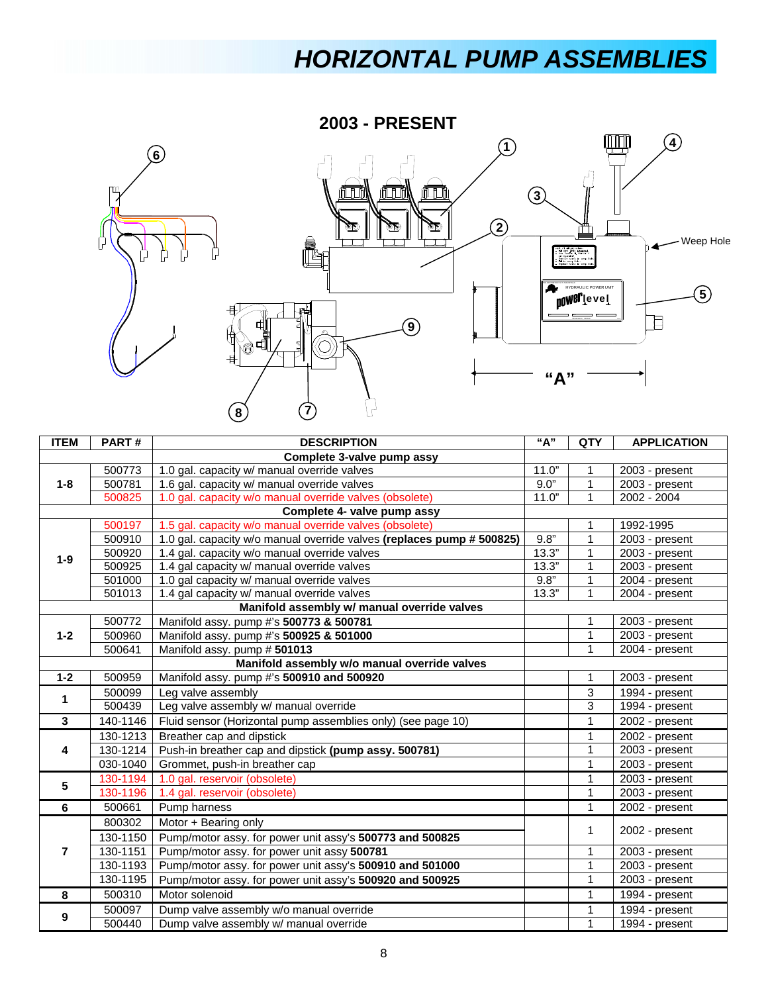## *HORIZONTAL PUMP ASSEMBLIES*

**2003 - PRESENT**



| <b>ITEM</b>  | PART#                      | <b>DESCRIPTION</b>                                                    | "A"   | QTY          | <b>APPLICATION</b> |  |
|--------------|----------------------------|-----------------------------------------------------------------------|-------|--------------|--------------------|--|
|              | Complete 3-valve pump assy |                                                                       |       |              |                    |  |
|              | 500773                     | 1.0 gal. capacity w/ manual override valves                           | 11.0" | 1            | 2003 - present     |  |
| $1 - 8$      | 500781                     | 1.6 gal. capacity w/ manual override valves                           | 9.0"  | $\mathbf{1}$ | 2003 - present     |  |
|              | 500825                     | 1.0 gal. capacity w/o manual override valves (obsolete)               | 11.0" | 1            | 2002 - 2004        |  |
|              |                            | Complete 4- valve pump assy                                           |       |              |                    |  |
|              | 500197                     | 1.5 gal. capacity w/o manual override valves (obsolete)               |       |              | 1992-1995          |  |
|              | 500910                     | 1.0 gal. capacity w/o manual override valves (replaces pump # 500825) | 9.8"  | 1            | $2003$ - present   |  |
| $1-9$        | 500920                     | 1.4 gal. capacity w/o manual override valves                          | 13.3" | $\mathbf{1}$ | 2003 - present     |  |
|              | 500925                     | 1.4 gal capacity w/ manual override valves                            | 13.3" | $\mathbf{1}$ | 2003 - present     |  |
|              | 501000                     | 1.0 gal capacity w/ manual override valves                            | 9.8"  | $\mathbf{1}$ | 2004 - present     |  |
|              | 501013                     | 1.4 gal capacity w/ manual override valves                            | 13.3" | $\mathbf{1}$ | 2004 - present     |  |
|              |                            | Manifold assembly w/ manual override valves                           |       |              |                    |  |
|              | 500772                     | Manifold assy. pump #'s 500773 & 500781                               |       | 1            | 2003 - present     |  |
| $1 - 2$      | 500960                     | Manifold assy. pump #'s 500925 & 501000                               |       | $\mathbf 1$  | 2003 - present     |  |
|              | 500641                     | Manifold assy. pump #501013                                           |       | 1            | 2004 - present     |  |
|              |                            | Manifold assembly w/o manual override valves                          |       |              |                    |  |
| $1 - 2$      | 500959                     | Manifold assy. pump #'s 500910 and 500920                             |       | $\mathbf{1}$ | 2003 - present     |  |
| $\mathbf 1$  | 500099                     | Leg valve assembly                                                    |       | 3            | 1994 - present     |  |
|              | 500439                     | Leg valve assembly w/ manual override                                 |       | 3            | 1994 - present     |  |
| $\mathbf{3}$ | 140-1146                   | Fluid sensor (Horizontal pump assemblies only) (see page 10)          |       | $\mathbf{1}$ | 2002 - present     |  |
|              | 130-1213                   | Breather cap and dipstick                                             |       | $\mathbf 1$  | 2002 - present     |  |
| 4            | 130-1214                   | Push-in breather cap and dipstick (pump assy. 500781)                 |       | 1            | 2003 - present     |  |
|              | 030-1040                   | Grommet, push-in breather cap                                         |       | 1            | 2003 - present     |  |
| 5            | 130-1194                   | 1.0 gal. reservoir (obsolete)                                         |       | 1            | 2003 - present     |  |
|              | 130-1196                   | 1.4 gal. reservoir (obsolete)                                         |       | $\mathbf{1}$ | 2003 - present     |  |
| 6            | 500661                     | Pump harness                                                          |       | $\mathbf{1}$ | 2002 - present     |  |
|              | 800302                     | Motor + Bearing only                                                  |       |              |                    |  |
|              | 130-1150                   | Pump/motor assy. for power unit assy's 500773 and 500825              |       | $\mathbf{1}$ | 2002 - present     |  |
| 7            | 130-1151                   | Pump/motor assy. for power unit assy 500781                           |       | 1            | 2003 - present     |  |
|              | 130-1193                   | Pump/motor assy. for power unit assy's 500910 and 501000              |       | 1            | 2003 - present     |  |
| 130-1195     |                            | Pump/motor assy. for power unit assy's 500920 and 500925              |       | 1            | 2003 - present     |  |
| 8            | 500310                     | Motor solenoid                                                        |       | $\mathbf{1}$ | 1994 - present     |  |
|              | 500097                     | Dump valve assembly w/o manual override                               |       | 1            | $1994 - present$   |  |
| 9            | 500440                     | Dump valve assembly w/ manual override                                |       | $\mathbf{1}$ | 1994 - present     |  |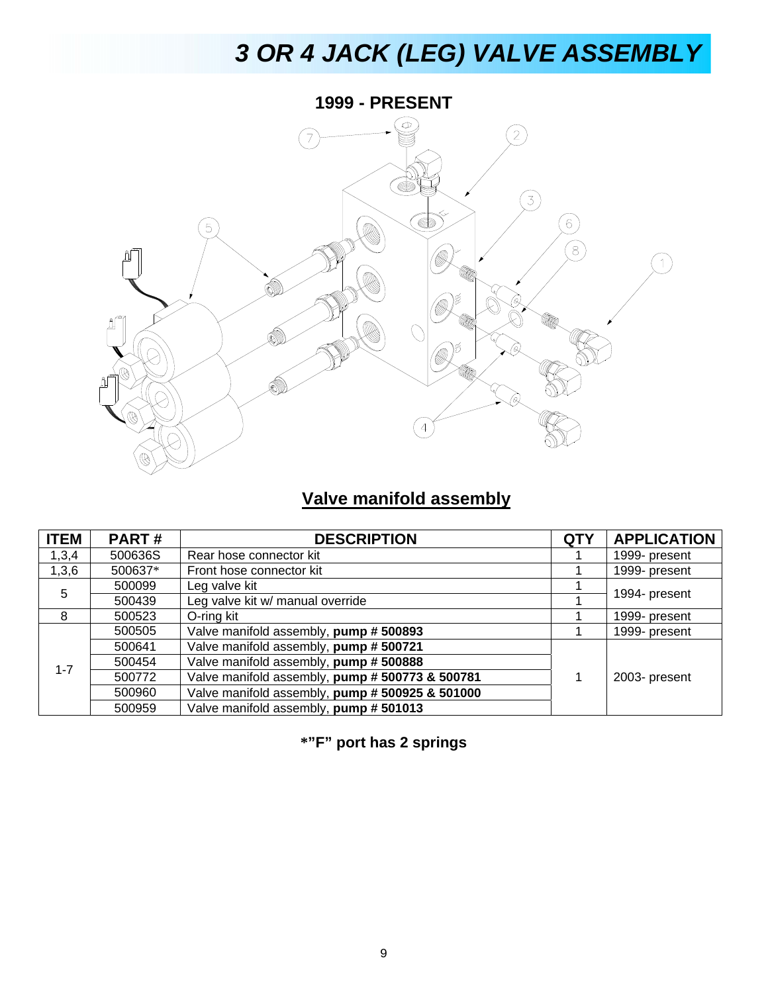# *3 OR 4 JACK (LEG) VALVE ASSEMBLY*



#### **Valve manifold assembly**

| <b>ITEM</b> | <b>PART#</b> | <b>DESCRIPTION</b>                              | <b>QTY</b> | <b>APPLICATION</b> |
|-------------|--------------|-------------------------------------------------|------------|--------------------|
| 1,3,4       | 500636S      | Rear hose connector kit                         |            | 1999- present      |
| 1,3,6       | 500637*      | Front hose connector kit                        |            | 1999- present      |
| 5           | 500099       | Leg valve kit                                   |            |                    |
|             | 500439       | Leg valve kit w/ manual override                |            | 1994- present      |
| 8           | 500523       | O-ring kit                                      |            | 1999- present      |
|             | 500505       | Valve manifold assembly, pump #500893           |            | 1999- present      |
|             | 500641       | Valve manifold assembly, pump #500721           |            |                    |
| $1 - 7$     | 500454       | Valve manifold assembly, pump # 500888          |            |                    |
|             | 500772       | Valve manifold assembly, pump # 500773 & 500781 |            | 2003- present      |
|             | 500960       | Valve manifold assembly, pump # 500925 & 501000 |            |                    |
|             | 500959       | Valve manifold assembly, pump #501013           |            |                    |

**\*"F" port has 2 springs**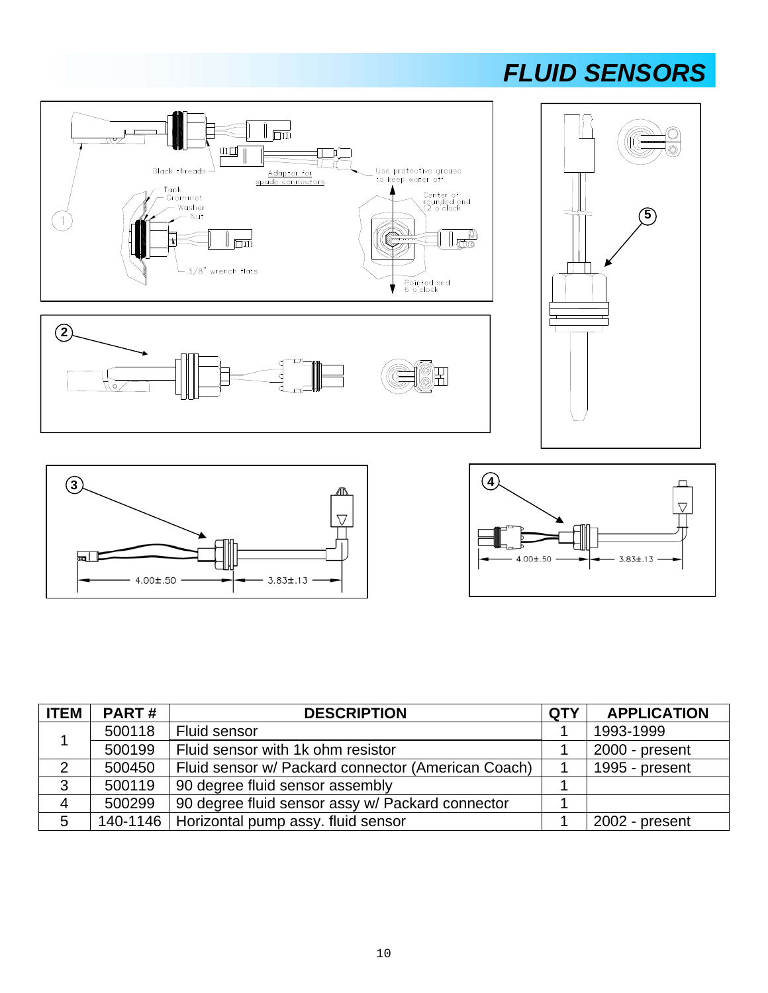### *FLUID SENSORS*







| <b>ITEM</b>    | <b>PART#</b> | <b>DESCRIPTION</b>                                 | <b>QTY</b> | <b>APPLICATION</b> |
|----------------|--------------|----------------------------------------------------|------------|--------------------|
|                | 500118       | Fluid sensor                                       |            | 1993-1999          |
|                | 500199       | Fluid sensor with 1k ohm resistor                  |            | 2000 - present     |
| $\overline{2}$ | 500450       | Fluid sensor w/ Packard connector (American Coach) |            | 1995 - present     |
| 3              | 500119       | 90 degree fluid sensor assembly                    |            |                    |
| 4              | 500299       | 90 degree fluid sensor assy w/ Packard connector   |            |                    |
| 5              |              | 140-1146   Horizontal pump assy. fluid sensor      |            | 2002 - present     |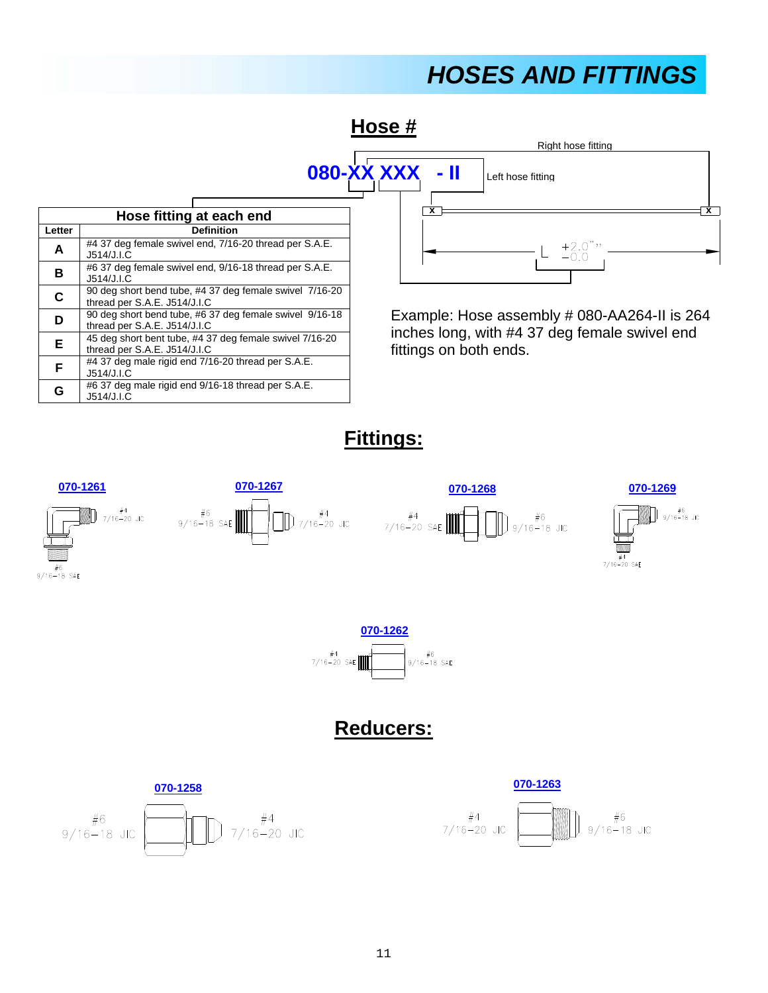### *HOSES AND FITTINGS*





Example: Hose assembly # 080-AA264-II is 264 inches long, with #4 37 deg female swivel end fittings on both ends.

**Fittings:**







J514/J.I.C

J514/J.I.C

J514/J.I.C

J514/J.I.C

thread per S.A.E. J514/J.I.C

thread per S.A.E. J514/J.I.C

**D** 90 deg short bend tube, #6 37 deg female swivel 9/16-18

**E**  $\left[45 \text{ deg short bent tube}, \frac{\#437 \text{ deg female swivel} \times 7}{16-20}\right]$ 

**F** #4 37 deg male rigid end 7/16-20 thread per S.A.E.

**G** #6 37 deg male rigid end 9/16-18 thread per S.A.E.

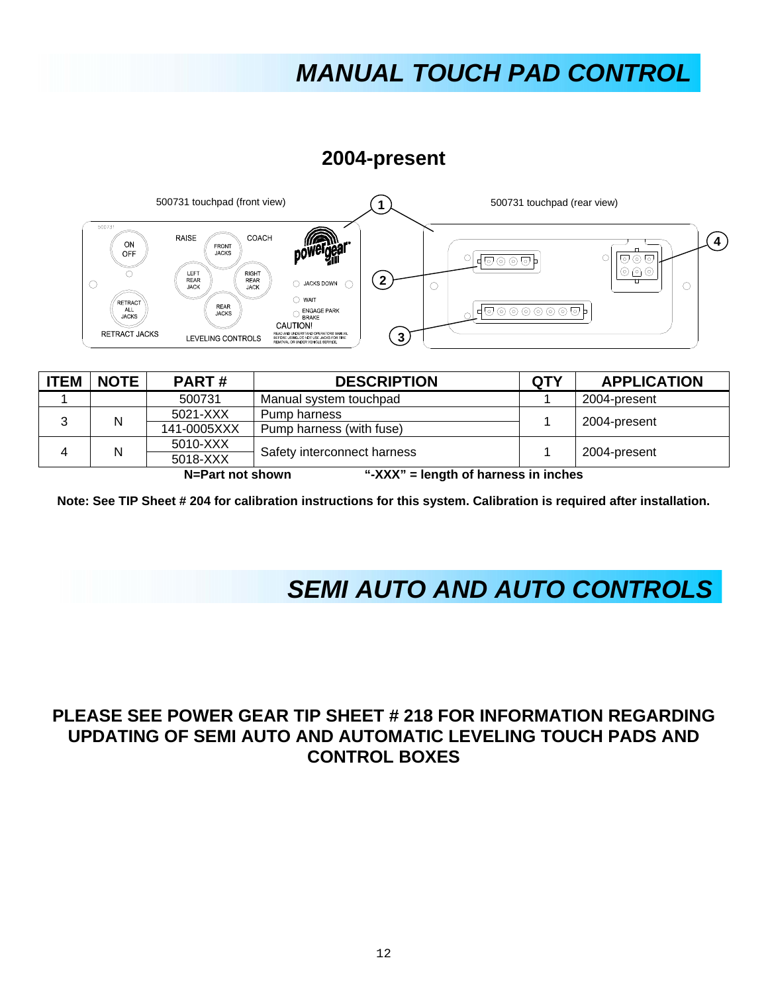## *MANUAL TOUCH PAD CONTROL*

**2004-present** 



| <b>ITEM</b>                                              | <b>NOTE</b> | <b>PART#</b> | <b>DESCRIPTION</b>          | <b>QTY</b> | <b>APPLICATION</b> |
|----------------------------------------------------------|-------------|--------------|-----------------------------|------------|--------------------|
|                                                          |             | 500731       | Manual system touchpad      |            | 2004-present       |
|                                                          | N           | 5021-XXX     | Pump harness                |            | 2004-present       |
|                                                          |             | 141-0005XXX  | Pump harness (with fuse)    |            |                    |
|                                                          | N           | 5010-XXX     | Safety interconnect harness |            | 2004-present       |
|                                                          |             | 5018-XXX     |                             |            |                    |
| "-XXX" = length of harness in inches<br>N=Part not shown |             |              |                             |            |                    |

**Note: See TIP Sheet # 204 for calibration instructions for this system. Calibration is required after installation.** 

### *SEMI AUTO AND AUTO CONTROLS*

#### **PLEASE SEE POWER GEAR TIP SHEET # 218 FOR INFORMATION REGARDING UPDATING OF SEMI AUTO AND AUTOMATIC LEVELING TOUCH PADS AND CONTROL BOXES**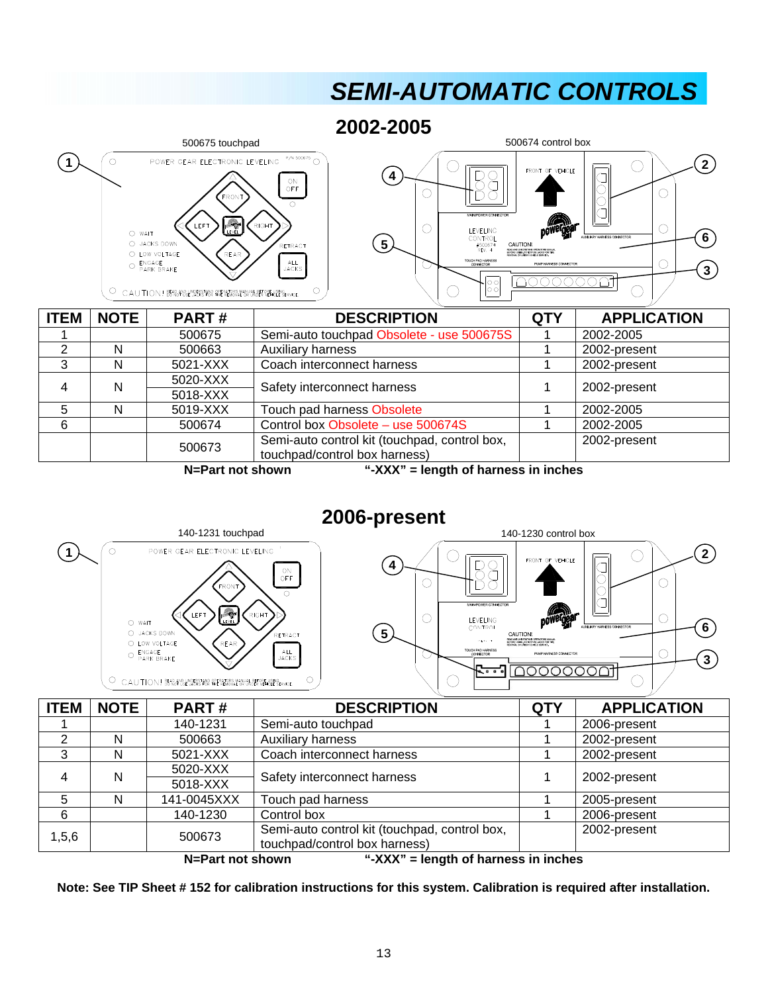## **SEMI-AUTOMATIC CONTROLS**

**2002-2005** 



**N=Part not shown "-XXX" = length of harness in inches** 



| <b>ITEM</b>                                                                    | <b>NOTE</b> | PART#                                         | <b>DESCRIPTION</b>            | <b>QTY</b>   | <b>APPLICATION</b> |
|--------------------------------------------------------------------------------|-------------|-----------------------------------------------|-------------------------------|--------------|--------------------|
|                                                                                |             | 140-1231                                      | Semi-auto touchpad            |              | 2006-present       |
| 2                                                                              | N           | 500663                                        | Auxiliary harness             |              | 2002-present       |
| 3                                                                              | N           | 5021-XXX                                      | Coach interconnect harness    |              | 2002-present       |
| 4                                                                              | N           | 5020-XXX                                      | Safety interconnect harness   |              | 2002-present       |
|                                                                                |             | 5018-XXX                                      |                               |              |                    |
| 5                                                                              | N           | 141-0045XXX                                   | Touch pad harness             |              | 2005-present       |
| 6                                                                              |             | 140-1230                                      | Control box                   |              | 2006-present       |
| 1, 5, 6                                                                        | 500673      | Semi-auto control kit (touchpad, control box, |                               | 2002-present |                    |
|                                                                                |             |                                               | touchpad/control box harness) |              |                    |
| $WVV''$ $\rightarrow$ langth of hornoon in inches<br><b>NL Dout not obourn</b> |             |                                               |                               |              |                    |

**N=Part not shown "-XXX" = length of harness in inches** 

**Note: See TIP Sheet # 152 for calibration instructions for this system. Calibration is required after installation.**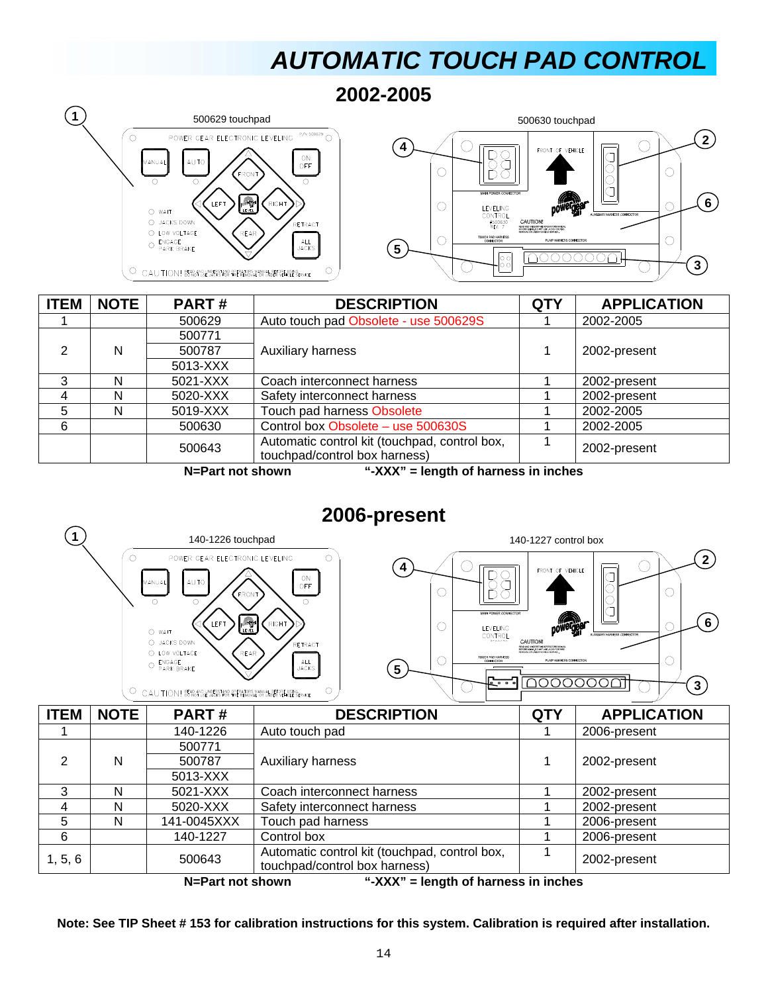## *AUTOMATIC TOUCH PAD CONTROL*

**2002-2005** 





| <b>ITEM</b> | <b>NOTE</b>                                                                    | PART#    | <b>DESCRIPTION</b>                                                             | <b>QTY</b> | <b>APPLICATION</b> |  |  |
|-------------|--------------------------------------------------------------------------------|----------|--------------------------------------------------------------------------------|------------|--------------------|--|--|
|             |                                                                                | 500629   | Auto touch pad Obsolete - use 500629S                                          |            | 2002-2005          |  |  |
|             |                                                                                | 500771   |                                                                                |            |                    |  |  |
| 2           | N                                                                              | 500787   | Auxiliary harness                                                              |            | 2002-present       |  |  |
|             |                                                                                | 5013-XXX |                                                                                |            |                    |  |  |
| 3           | N                                                                              | 5021-XXX | Coach interconnect harness                                                     |            | 2002-present       |  |  |
| 4           | N                                                                              | 5020-XXX | Safety interconnect harness                                                    |            | 2002-present       |  |  |
| 5           | N                                                                              | 5019-XXX | Touch pad harness Obsolete                                                     |            | 2002-2005          |  |  |
| 6           |                                                                                | 500630   | Control box Obsolete - use 500630S                                             |            | 2002-2005          |  |  |
|             |                                                                                | 500643   | Automatic control kit (touchpad, control box,<br>touchpad/control box harness) |            | 2002-present       |  |  |
|             | 6 VVV <sub>i</sub> Longib of bounces in inches<br><b>M.</b> Davi wait alconnel |          |                                                                                |            |                    |  |  |

**N=Part not shown "-XXX" = length of harness in inches** 

#### **2006-present**



**N=Part not shown "-XXX" = length of harness in inches** 

**Note: See TIP Sheet # 153 for calibration instructions for this system. Calibration is required after installation.**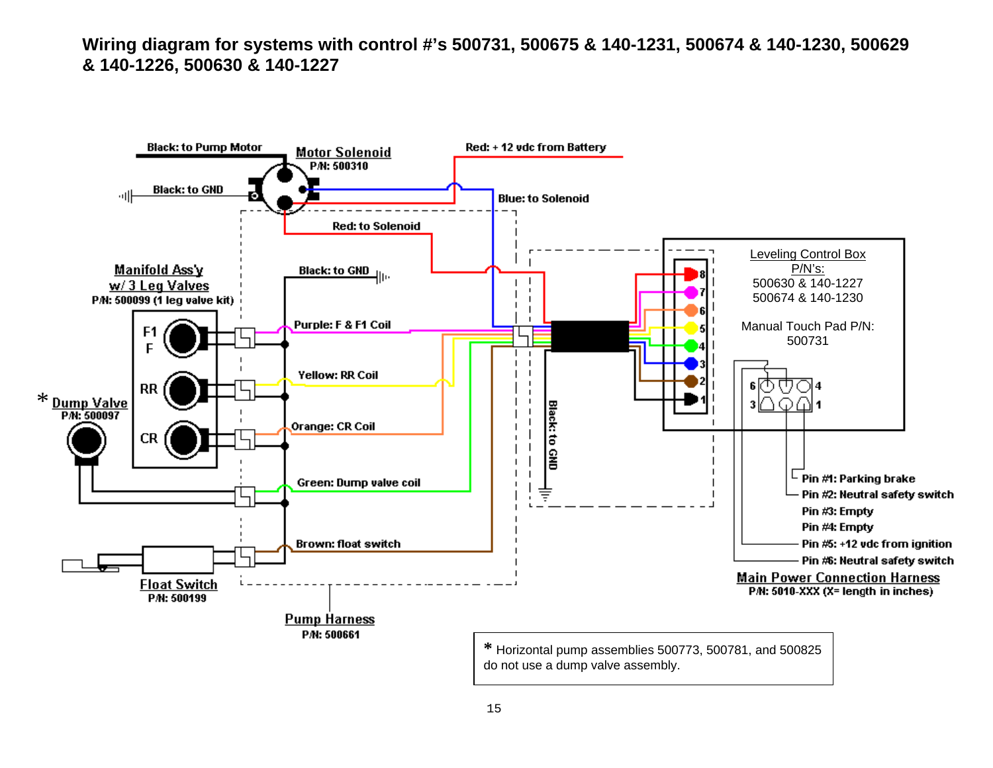**Wiring diagram for systems with control #'s 500731, 500675 & 140-1231, 500674 & 140-1230, 500629 & 140-1226, 500630 & 140-1227** 

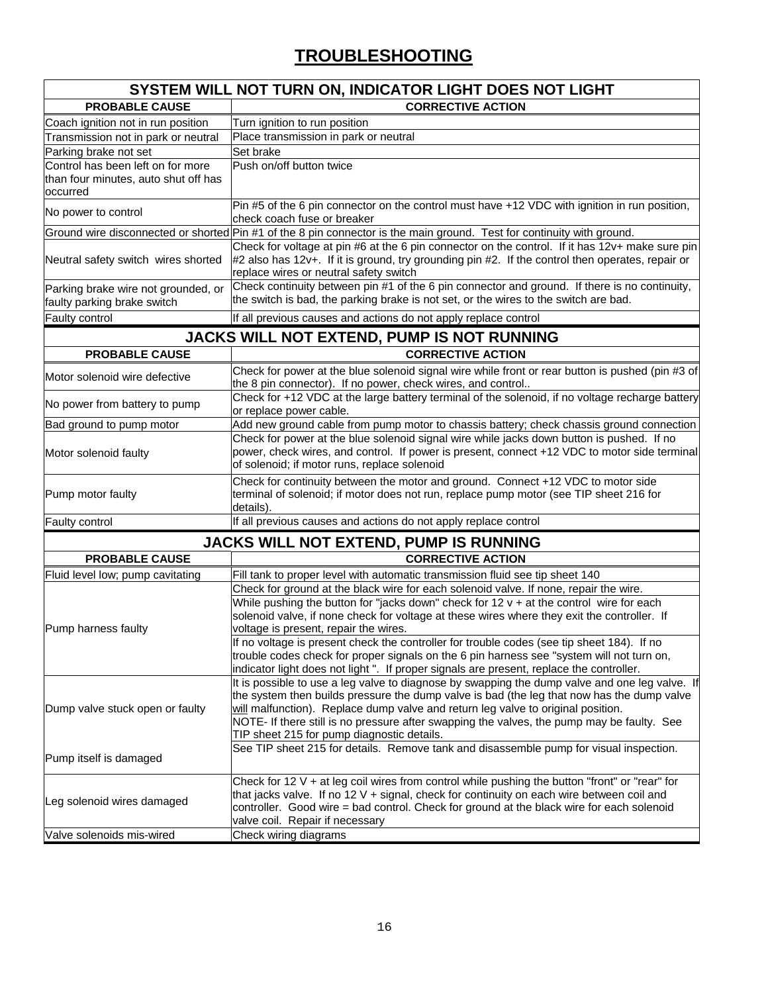#### **TROUBLESHOOTING**

| <b>CORRECTIVE ACTION</b><br><b>PROBABLE CAUSE</b><br>Coach ignition not in run position<br>Turn ignition to run position<br>Place transmission in park or neutral<br>Transmission not in park or neutral<br>Set brake<br>Control has been left on for more<br>Push on/off button twice<br>occurred<br>Pin #5 of the 6 pin connector on the control must have +12 VDC with ignition in run position,<br>No power to control<br>check coach fuse or breaker<br>Ground wire disconnected or shorted Pin #1 of the 8 pin connector is the main ground. Test for continuity with ground.<br>Check for voltage at pin #6 at the 6 pin connector on the control. If it has 12v+ make sure pin<br>#2 also has 12v+. If it is ground, try grounding pin #2. If the control then operates, repair or<br>replace wires or neutral safety switch<br>Check continuity between pin #1 of the 6 pin connector and ground. If there is no continuity,<br>Parking brake wire not grounded, or<br>the switch is bad, the parking brake is not set, or the wires to the switch are bad.<br>faulty parking brake switch<br>If all previous causes and actions do not apply replace control<br>JACKS WILL NOT EXTEND, PUMP IS NOT RUNNING<br><b>PROBABLE CAUSE</b><br><b>CORRECTIVE ACTION</b><br>Check for power at the blue solenoid signal wire while front or rear button is pushed (pin #3 of<br>Motor solenoid wire defective<br>the 8 pin connector). If no power, check wires, and control<br>Check for +12 VDC at the large battery terminal of the solenoid, if no voltage recharge battery<br>No power from battery to pump<br>or replace power cable.<br>Add new ground cable from pump motor to chassis battery; check chassis ground connection<br>Check for power at the blue solenoid signal wire while jacks down button is pushed. If no<br>power, check wires, and control. If power is present, connect +12 VDC to motor side terminal<br>of solenoid; if motor runs, replace solenoid<br>Check for continuity between the motor and ground. Connect +12 VDC to motor side<br>terminal of solenoid; if motor does not run, replace pump motor (see TIP sheet 216 for<br>details).<br>If all previous causes and actions do not apply replace control<br>JACKS WILL NOT EXTEND, PUMP IS RUNNING<br><b>PROBABLE CAUSE</b><br><b>CORRECTIVE ACTION</b><br>Fluid level low; pump cavitating<br>Fill tank to proper level with automatic transmission fluid see tip sheet 140<br>Check for ground at the black wire for each solenoid valve. If none, repair the wire.<br>While pushing the button for "jacks down" check for $12 v + at$ the control wire for each<br>solenoid valve, if none check for voltage at these wires where they exit the controller. If<br>voltage is present, repair the wires.<br>If no voltage is present check the controller for trouble codes (see tip sheet 184). If no<br>trouble codes check for proper signals on the 6 pin harness see "system will not turn on,<br>indicator light does not light". If proper signals are present, replace the controller.<br>It is possible to use a leg valve to diagnose by swapping the dump valve and one leg valve. If<br>the system then builds pressure the dump valve is bad (the leg that now has the dump valve<br>will malfunction). Replace dump valve and return leg valve to original position.<br>NOTE- If there still is no pressure after swapping the valves, the pump may be faulty. See<br>TIP sheet 215 for pump diagnostic details.<br>See TIP sheet 215 for details. Remove tank and disassemble pump for visual inspection.<br>Check for 12 V + at leg coil wires from control while pushing the button "front" or "rear" for<br>that jacks valve. If no 12 V + signal, check for continuity on each wire between coil and<br>controller. Good wire = bad control. Check for ground at the black wire for each solenoid<br>valve coil. Repair if necessary<br>Check wiring diagrams |                                      | <b>SYSTEM WILL NOT TURN ON, INDICATOR LIGHT DOES NOT LIGHT</b> |
|-------------------------------------------------------------------------------------------------------------------------------------------------------------------------------------------------------------------------------------------------------------------------------------------------------------------------------------------------------------------------------------------------------------------------------------------------------------------------------------------------------------------------------------------------------------------------------------------------------------------------------------------------------------------------------------------------------------------------------------------------------------------------------------------------------------------------------------------------------------------------------------------------------------------------------------------------------------------------------------------------------------------------------------------------------------------------------------------------------------------------------------------------------------------------------------------------------------------------------------------------------------------------------------------------------------------------------------------------------------------------------------------------------------------------------------------------------------------------------------------------------------------------------------------------------------------------------------------------------------------------------------------------------------------------------------------------------------------------------------------------------------------------------------------------------------------------------------------------------------------------------------------------------------------------------------------------------------------------------------------------------------------------------------------------------------------------------------------------------------------------------------------------------------------------------------------------------------------------------------------------------------------------------------------------------------------------------------------------------------------------------------------------------------------------------------------------------------------------------------------------------------------------------------------------------------------------------------------------------------------------------------------------------------------------------------------------------------------------------------------------------------------------------------------------------------------------------------------------------------------------------------------------------------------------------------------------------------------------------------------------------------------------------------------------------------------------------------------------------------------------------------------------------------------------------------------------------------------------------------------------------------------------------------------------------------------------------------------------------------------------------------------------------------------------------------------------------------------------------------------------------------------------------------------------------------------------------------------------------------------------------------------------------------------------------------------------------------------------------------------------------------------------------------------------------------------------------------------------------------------------------------------------------------------------------------------------------------------------------|--------------------------------------|----------------------------------------------------------------|
|                                                                                                                                                                                                                                                                                                                                                                                                                                                                                                                                                                                                                                                                                                                                                                                                                                                                                                                                                                                                                                                                                                                                                                                                                                                                                                                                                                                                                                                                                                                                                                                                                                                                                                                                                                                                                                                                                                                                                                                                                                                                                                                                                                                                                                                                                                                                                                                                                                                                                                                                                                                                                                                                                                                                                                                                                                                                                                                                                                                                                                                                                                                                                                                                                                                                                                                                                                                                                                                                                                                                                                                                                                                                                                                                                                                                                                                                                                                                                                               |                                      |                                                                |
|                                                                                                                                                                                                                                                                                                                                                                                                                                                                                                                                                                                                                                                                                                                                                                                                                                                                                                                                                                                                                                                                                                                                                                                                                                                                                                                                                                                                                                                                                                                                                                                                                                                                                                                                                                                                                                                                                                                                                                                                                                                                                                                                                                                                                                                                                                                                                                                                                                                                                                                                                                                                                                                                                                                                                                                                                                                                                                                                                                                                                                                                                                                                                                                                                                                                                                                                                                                                                                                                                                                                                                                                                                                                                                                                                                                                                                                                                                                                                                               |                                      |                                                                |
|                                                                                                                                                                                                                                                                                                                                                                                                                                                                                                                                                                                                                                                                                                                                                                                                                                                                                                                                                                                                                                                                                                                                                                                                                                                                                                                                                                                                                                                                                                                                                                                                                                                                                                                                                                                                                                                                                                                                                                                                                                                                                                                                                                                                                                                                                                                                                                                                                                                                                                                                                                                                                                                                                                                                                                                                                                                                                                                                                                                                                                                                                                                                                                                                                                                                                                                                                                                                                                                                                                                                                                                                                                                                                                                                                                                                                                                                                                                                                                               |                                      |                                                                |
|                                                                                                                                                                                                                                                                                                                                                                                                                                                                                                                                                                                                                                                                                                                                                                                                                                                                                                                                                                                                                                                                                                                                                                                                                                                                                                                                                                                                                                                                                                                                                                                                                                                                                                                                                                                                                                                                                                                                                                                                                                                                                                                                                                                                                                                                                                                                                                                                                                                                                                                                                                                                                                                                                                                                                                                                                                                                                                                                                                                                                                                                                                                                                                                                                                                                                                                                                                                                                                                                                                                                                                                                                                                                                                                                                                                                                                                                                                                                                                               | Parking brake not set                |                                                                |
|                                                                                                                                                                                                                                                                                                                                                                                                                                                                                                                                                                                                                                                                                                                                                                                                                                                                                                                                                                                                                                                                                                                                                                                                                                                                                                                                                                                                                                                                                                                                                                                                                                                                                                                                                                                                                                                                                                                                                                                                                                                                                                                                                                                                                                                                                                                                                                                                                                                                                                                                                                                                                                                                                                                                                                                                                                                                                                                                                                                                                                                                                                                                                                                                                                                                                                                                                                                                                                                                                                                                                                                                                                                                                                                                                                                                                                                                                                                                                                               |                                      |                                                                |
|                                                                                                                                                                                                                                                                                                                                                                                                                                                                                                                                                                                                                                                                                                                                                                                                                                                                                                                                                                                                                                                                                                                                                                                                                                                                                                                                                                                                                                                                                                                                                                                                                                                                                                                                                                                                                                                                                                                                                                                                                                                                                                                                                                                                                                                                                                                                                                                                                                                                                                                                                                                                                                                                                                                                                                                                                                                                                                                                                                                                                                                                                                                                                                                                                                                                                                                                                                                                                                                                                                                                                                                                                                                                                                                                                                                                                                                                                                                                                                               | than four minutes, auto shut off has |                                                                |
|                                                                                                                                                                                                                                                                                                                                                                                                                                                                                                                                                                                                                                                                                                                                                                                                                                                                                                                                                                                                                                                                                                                                                                                                                                                                                                                                                                                                                                                                                                                                                                                                                                                                                                                                                                                                                                                                                                                                                                                                                                                                                                                                                                                                                                                                                                                                                                                                                                                                                                                                                                                                                                                                                                                                                                                                                                                                                                                                                                                                                                                                                                                                                                                                                                                                                                                                                                                                                                                                                                                                                                                                                                                                                                                                                                                                                                                                                                                                                                               |                                      |                                                                |
|                                                                                                                                                                                                                                                                                                                                                                                                                                                                                                                                                                                                                                                                                                                                                                                                                                                                                                                                                                                                                                                                                                                                                                                                                                                                                                                                                                                                                                                                                                                                                                                                                                                                                                                                                                                                                                                                                                                                                                                                                                                                                                                                                                                                                                                                                                                                                                                                                                                                                                                                                                                                                                                                                                                                                                                                                                                                                                                                                                                                                                                                                                                                                                                                                                                                                                                                                                                                                                                                                                                                                                                                                                                                                                                                                                                                                                                                                                                                                                               |                                      |                                                                |
|                                                                                                                                                                                                                                                                                                                                                                                                                                                                                                                                                                                                                                                                                                                                                                                                                                                                                                                                                                                                                                                                                                                                                                                                                                                                                                                                                                                                                                                                                                                                                                                                                                                                                                                                                                                                                                                                                                                                                                                                                                                                                                                                                                                                                                                                                                                                                                                                                                                                                                                                                                                                                                                                                                                                                                                                                                                                                                                                                                                                                                                                                                                                                                                                                                                                                                                                                                                                                                                                                                                                                                                                                                                                                                                                                                                                                                                                                                                                                                               |                                      |                                                                |
|                                                                                                                                                                                                                                                                                                                                                                                                                                                                                                                                                                                                                                                                                                                                                                                                                                                                                                                                                                                                                                                                                                                                                                                                                                                                                                                                                                                                                                                                                                                                                                                                                                                                                                                                                                                                                                                                                                                                                                                                                                                                                                                                                                                                                                                                                                                                                                                                                                                                                                                                                                                                                                                                                                                                                                                                                                                                                                                                                                                                                                                                                                                                                                                                                                                                                                                                                                                                                                                                                                                                                                                                                                                                                                                                                                                                                                                                                                                                                                               |                                      |                                                                |
|                                                                                                                                                                                                                                                                                                                                                                                                                                                                                                                                                                                                                                                                                                                                                                                                                                                                                                                                                                                                                                                                                                                                                                                                                                                                                                                                                                                                                                                                                                                                                                                                                                                                                                                                                                                                                                                                                                                                                                                                                                                                                                                                                                                                                                                                                                                                                                                                                                                                                                                                                                                                                                                                                                                                                                                                                                                                                                                                                                                                                                                                                                                                                                                                                                                                                                                                                                                                                                                                                                                                                                                                                                                                                                                                                                                                                                                                                                                                                                               | Neutral safety switch wires shorted  |                                                                |
|                                                                                                                                                                                                                                                                                                                                                                                                                                                                                                                                                                                                                                                                                                                                                                                                                                                                                                                                                                                                                                                                                                                                                                                                                                                                                                                                                                                                                                                                                                                                                                                                                                                                                                                                                                                                                                                                                                                                                                                                                                                                                                                                                                                                                                                                                                                                                                                                                                                                                                                                                                                                                                                                                                                                                                                                                                                                                                                                                                                                                                                                                                                                                                                                                                                                                                                                                                                                                                                                                                                                                                                                                                                                                                                                                                                                                                                                                                                                                                               |                                      |                                                                |
|                                                                                                                                                                                                                                                                                                                                                                                                                                                                                                                                                                                                                                                                                                                                                                                                                                                                                                                                                                                                                                                                                                                                                                                                                                                                                                                                                                                                                                                                                                                                                                                                                                                                                                                                                                                                                                                                                                                                                                                                                                                                                                                                                                                                                                                                                                                                                                                                                                                                                                                                                                                                                                                                                                                                                                                                                                                                                                                                                                                                                                                                                                                                                                                                                                                                                                                                                                                                                                                                                                                                                                                                                                                                                                                                                                                                                                                                                                                                                                               |                                      |                                                                |
|                                                                                                                                                                                                                                                                                                                                                                                                                                                                                                                                                                                                                                                                                                                                                                                                                                                                                                                                                                                                                                                                                                                                                                                                                                                                                                                                                                                                                                                                                                                                                                                                                                                                                                                                                                                                                                                                                                                                                                                                                                                                                                                                                                                                                                                                                                                                                                                                                                                                                                                                                                                                                                                                                                                                                                                                                                                                                                                                                                                                                                                                                                                                                                                                                                                                                                                                                                                                                                                                                                                                                                                                                                                                                                                                                                                                                                                                                                                                                                               | Faulty control                       |                                                                |
|                                                                                                                                                                                                                                                                                                                                                                                                                                                                                                                                                                                                                                                                                                                                                                                                                                                                                                                                                                                                                                                                                                                                                                                                                                                                                                                                                                                                                                                                                                                                                                                                                                                                                                                                                                                                                                                                                                                                                                                                                                                                                                                                                                                                                                                                                                                                                                                                                                                                                                                                                                                                                                                                                                                                                                                                                                                                                                                                                                                                                                                                                                                                                                                                                                                                                                                                                                                                                                                                                                                                                                                                                                                                                                                                                                                                                                                                                                                                                                               |                                      |                                                                |
|                                                                                                                                                                                                                                                                                                                                                                                                                                                                                                                                                                                                                                                                                                                                                                                                                                                                                                                                                                                                                                                                                                                                                                                                                                                                                                                                                                                                                                                                                                                                                                                                                                                                                                                                                                                                                                                                                                                                                                                                                                                                                                                                                                                                                                                                                                                                                                                                                                                                                                                                                                                                                                                                                                                                                                                                                                                                                                                                                                                                                                                                                                                                                                                                                                                                                                                                                                                                                                                                                                                                                                                                                                                                                                                                                                                                                                                                                                                                                                               |                                      |                                                                |
|                                                                                                                                                                                                                                                                                                                                                                                                                                                                                                                                                                                                                                                                                                                                                                                                                                                                                                                                                                                                                                                                                                                                                                                                                                                                                                                                                                                                                                                                                                                                                                                                                                                                                                                                                                                                                                                                                                                                                                                                                                                                                                                                                                                                                                                                                                                                                                                                                                                                                                                                                                                                                                                                                                                                                                                                                                                                                                                                                                                                                                                                                                                                                                                                                                                                                                                                                                                                                                                                                                                                                                                                                                                                                                                                                                                                                                                                                                                                                                               |                                      |                                                                |
|                                                                                                                                                                                                                                                                                                                                                                                                                                                                                                                                                                                                                                                                                                                                                                                                                                                                                                                                                                                                                                                                                                                                                                                                                                                                                                                                                                                                                                                                                                                                                                                                                                                                                                                                                                                                                                                                                                                                                                                                                                                                                                                                                                                                                                                                                                                                                                                                                                                                                                                                                                                                                                                                                                                                                                                                                                                                                                                                                                                                                                                                                                                                                                                                                                                                                                                                                                                                                                                                                                                                                                                                                                                                                                                                                                                                                                                                                                                                                                               |                                      |                                                                |
|                                                                                                                                                                                                                                                                                                                                                                                                                                                                                                                                                                                                                                                                                                                                                                                                                                                                                                                                                                                                                                                                                                                                                                                                                                                                                                                                                                                                                                                                                                                                                                                                                                                                                                                                                                                                                                                                                                                                                                                                                                                                                                                                                                                                                                                                                                                                                                                                                                                                                                                                                                                                                                                                                                                                                                                                                                                                                                                                                                                                                                                                                                                                                                                                                                                                                                                                                                                                                                                                                                                                                                                                                                                                                                                                                                                                                                                                                                                                                                               |                                      |                                                                |
|                                                                                                                                                                                                                                                                                                                                                                                                                                                                                                                                                                                                                                                                                                                                                                                                                                                                                                                                                                                                                                                                                                                                                                                                                                                                                                                                                                                                                                                                                                                                                                                                                                                                                                                                                                                                                                                                                                                                                                                                                                                                                                                                                                                                                                                                                                                                                                                                                                                                                                                                                                                                                                                                                                                                                                                                                                                                                                                                                                                                                                                                                                                                                                                                                                                                                                                                                                                                                                                                                                                                                                                                                                                                                                                                                                                                                                                                                                                                                                               |                                      |                                                                |
|                                                                                                                                                                                                                                                                                                                                                                                                                                                                                                                                                                                                                                                                                                                                                                                                                                                                                                                                                                                                                                                                                                                                                                                                                                                                                                                                                                                                                                                                                                                                                                                                                                                                                                                                                                                                                                                                                                                                                                                                                                                                                                                                                                                                                                                                                                                                                                                                                                                                                                                                                                                                                                                                                                                                                                                                                                                                                                                                                                                                                                                                                                                                                                                                                                                                                                                                                                                                                                                                                                                                                                                                                                                                                                                                                                                                                                                                                                                                                                               | Bad ground to pump motor             |                                                                |
|                                                                                                                                                                                                                                                                                                                                                                                                                                                                                                                                                                                                                                                                                                                                                                                                                                                                                                                                                                                                                                                                                                                                                                                                                                                                                                                                                                                                                                                                                                                                                                                                                                                                                                                                                                                                                                                                                                                                                                                                                                                                                                                                                                                                                                                                                                                                                                                                                                                                                                                                                                                                                                                                                                                                                                                                                                                                                                                                                                                                                                                                                                                                                                                                                                                                                                                                                                                                                                                                                                                                                                                                                                                                                                                                                                                                                                                                                                                                                                               | Motor solenoid faulty                |                                                                |
|                                                                                                                                                                                                                                                                                                                                                                                                                                                                                                                                                                                                                                                                                                                                                                                                                                                                                                                                                                                                                                                                                                                                                                                                                                                                                                                                                                                                                                                                                                                                                                                                                                                                                                                                                                                                                                                                                                                                                                                                                                                                                                                                                                                                                                                                                                                                                                                                                                                                                                                                                                                                                                                                                                                                                                                                                                                                                                                                                                                                                                                                                                                                                                                                                                                                                                                                                                                                                                                                                                                                                                                                                                                                                                                                                                                                                                                                                                                                                                               | Pump motor faulty                    |                                                                |
|                                                                                                                                                                                                                                                                                                                                                                                                                                                                                                                                                                                                                                                                                                                                                                                                                                                                                                                                                                                                                                                                                                                                                                                                                                                                                                                                                                                                                                                                                                                                                                                                                                                                                                                                                                                                                                                                                                                                                                                                                                                                                                                                                                                                                                                                                                                                                                                                                                                                                                                                                                                                                                                                                                                                                                                                                                                                                                                                                                                                                                                                                                                                                                                                                                                                                                                                                                                                                                                                                                                                                                                                                                                                                                                                                                                                                                                                                                                                                                               | Faulty control                       |                                                                |
|                                                                                                                                                                                                                                                                                                                                                                                                                                                                                                                                                                                                                                                                                                                                                                                                                                                                                                                                                                                                                                                                                                                                                                                                                                                                                                                                                                                                                                                                                                                                                                                                                                                                                                                                                                                                                                                                                                                                                                                                                                                                                                                                                                                                                                                                                                                                                                                                                                                                                                                                                                                                                                                                                                                                                                                                                                                                                                                                                                                                                                                                                                                                                                                                                                                                                                                                                                                                                                                                                                                                                                                                                                                                                                                                                                                                                                                                                                                                                                               |                                      |                                                                |
|                                                                                                                                                                                                                                                                                                                                                                                                                                                                                                                                                                                                                                                                                                                                                                                                                                                                                                                                                                                                                                                                                                                                                                                                                                                                                                                                                                                                                                                                                                                                                                                                                                                                                                                                                                                                                                                                                                                                                                                                                                                                                                                                                                                                                                                                                                                                                                                                                                                                                                                                                                                                                                                                                                                                                                                                                                                                                                                                                                                                                                                                                                                                                                                                                                                                                                                                                                                                                                                                                                                                                                                                                                                                                                                                                                                                                                                                                                                                                                               |                                      |                                                                |
|                                                                                                                                                                                                                                                                                                                                                                                                                                                                                                                                                                                                                                                                                                                                                                                                                                                                                                                                                                                                                                                                                                                                                                                                                                                                                                                                                                                                                                                                                                                                                                                                                                                                                                                                                                                                                                                                                                                                                                                                                                                                                                                                                                                                                                                                                                                                                                                                                                                                                                                                                                                                                                                                                                                                                                                                                                                                                                                                                                                                                                                                                                                                                                                                                                                                                                                                                                                                                                                                                                                                                                                                                                                                                                                                                                                                                                                                                                                                                                               |                                      |                                                                |
|                                                                                                                                                                                                                                                                                                                                                                                                                                                                                                                                                                                                                                                                                                                                                                                                                                                                                                                                                                                                                                                                                                                                                                                                                                                                                                                                                                                                                                                                                                                                                                                                                                                                                                                                                                                                                                                                                                                                                                                                                                                                                                                                                                                                                                                                                                                                                                                                                                                                                                                                                                                                                                                                                                                                                                                                                                                                                                                                                                                                                                                                                                                                                                                                                                                                                                                                                                                                                                                                                                                                                                                                                                                                                                                                                                                                                                                                                                                                                                               |                                      |                                                                |
|                                                                                                                                                                                                                                                                                                                                                                                                                                                                                                                                                                                                                                                                                                                                                                                                                                                                                                                                                                                                                                                                                                                                                                                                                                                                                                                                                                                                                                                                                                                                                                                                                                                                                                                                                                                                                                                                                                                                                                                                                                                                                                                                                                                                                                                                                                                                                                                                                                                                                                                                                                                                                                                                                                                                                                                                                                                                                                                                                                                                                                                                                                                                                                                                                                                                                                                                                                                                                                                                                                                                                                                                                                                                                                                                                                                                                                                                                                                                                                               | Pump harness faulty                  |                                                                |
|                                                                                                                                                                                                                                                                                                                                                                                                                                                                                                                                                                                                                                                                                                                                                                                                                                                                                                                                                                                                                                                                                                                                                                                                                                                                                                                                                                                                                                                                                                                                                                                                                                                                                                                                                                                                                                                                                                                                                                                                                                                                                                                                                                                                                                                                                                                                                                                                                                                                                                                                                                                                                                                                                                                                                                                                                                                                                                                                                                                                                                                                                                                                                                                                                                                                                                                                                                                                                                                                                                                                                                                                                                                                                                                                                                                                                                                                                                                                                                               |                                      |                                                                |
|                                                                                                                                                                                                                                                                                                                                                                                                                                                                                                                                                                                                                                                                                                                                                                                                                                                                                                                                                                                                                                                                                                                                                                                                                                                                                                                                                                                                                                                                                                                                                                                                                                                                                                                                                                                                                                                                                                                                                                                                                                                                                                                                                                                                                                                                                                                                                                                                                                                                                                                                                                                                                                                                                                                                                                                                                                                                                                                                                                                                                                                                                                                                                                                                                                                                                                                                                                                                                                                                                                                                                                                                                                                                                                                                                                                                                                                                                                                                                                               | Dump valve stuck open or faulty      |                                                                |
|                                                                                                                                                                                                                                                                                                                                                                                                                                                                                                                                                                                                                                                                                                                                                                                                                                                                                                                                                                                                                                                                                                                                                                                                                                                                                                                                                                                                                                                                                                                                                                                                                                                                                                                                                                                                                                                                                                                                                                                                                                                                                                                                                                                                                                                                                                                                                                                                                                                                                                                                                                                                                                                                                                                                                                                                                                                                                                                                                                                                                                                                                                                                                                                                                                                                                                                                                                                                                                                                                                                                                                                                                                                                                                                                                                                                                                                                                                                                                                               | Pump itself is damaged               |                                                                |
|                                                                                                                                                                                                                                                                                                                                                                                                                                                                                                                                                                                                                                                                                                                                                                                                                                                                                                                                                                                                                                                                                                                                                                                                                                                                                                                                                                                                                                                                                                                                                                                                                                                                                                                                                                                                                                                                                                                                                                                                                                                                                                                                                                                                                                                                                                                                                                                                                                                                                                                                                                                                                                                                                                                                                                                                                                                                                                                                                                                                                                                                                                                                                                                                                                                                                                                                                                                                                                                                                                                                                                                                                                                                                                                                                                                                                                                                                                                                                                               | Leg solenoid wires damaged           |                                                                |
|                                                                                                                                                                                                                                                                                                                                                                                                                                                                                                                                                                                                                                                                                                                                                                                                                                                                                                                                                                                                                                                                                                                                                                                                                                                                                                                                                                                                                                                                                                                                                                                                                                                                                                                                                                                                                                                                                                                                                                                                                                                                                                                                                                                                                                                                                                                                                                                                                                                                                                                                                                                                                                                                                                                                                                                                                                                                                                                                                                                                                                                                                                                                                                                                                                                                                                                                                                                                                                                                                                                                                                                                                                                                                                                                                                                                                                                                                                                                                                               | Valve solenoids mis-wired            |                                                                |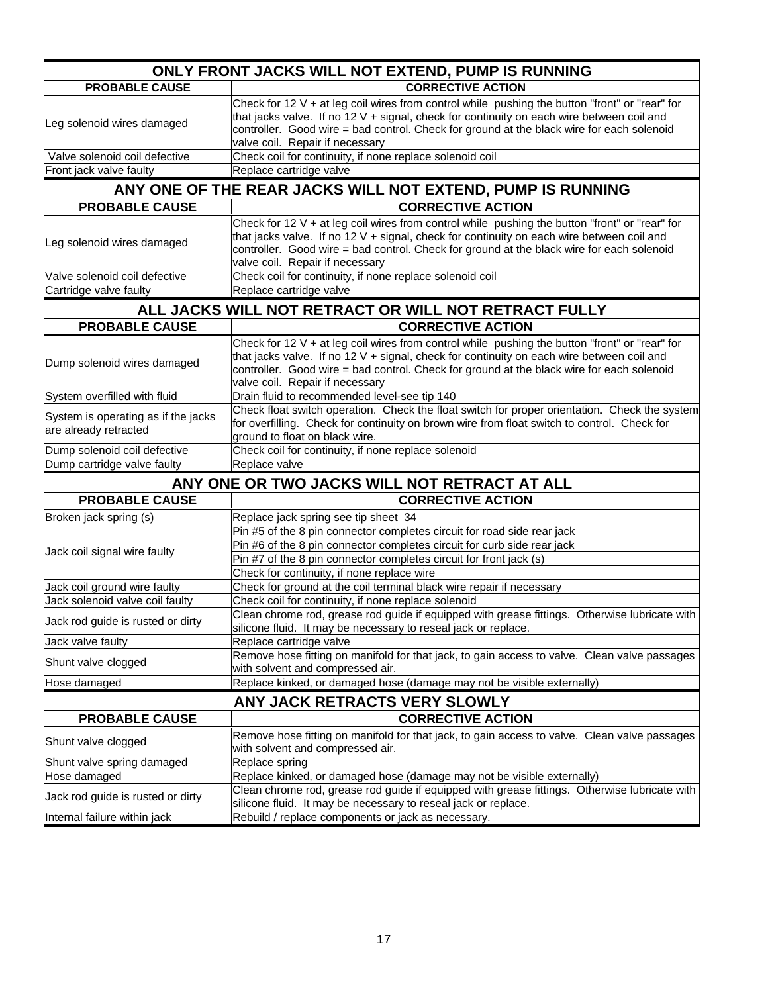|                                                              | ONLY FRONT JACKS WILL NOT EXTEND, PUMP IS RUNNING                                                                                                                                                                                                                                                                             |
|--------------------------------------------------------------|-------------------------------------------------------------------------------------------------------------------------------------------------------------------------------------------------------------------------------------------------------------------------------------------------------------------------------|
| <b>PROBABLE CAUSE</b>                                        | <b>CORRECTIVE ACTION</b>                                                                                                                                                                                                                                                                                                      |
| Leg solenoid wires damaged                                   | Check for 12 $V$ + at leg coil wires from control while pushing the button "front" or "rear" for<br>that jacks valve. If no 12 V + signal, check for continuity on each wire between coil and<br>controller. Good wire = bad control. Check for ground at the black wire for each solenoid<br>valve coil. Repair if necessary |
| Valve solenoid coil defective                                | Check coil for continuity, if none replace solenoid coil                                                                                                                                                                                                                                                                      |
| Front jack valve faulty                                      | Replace cartridge valve                                                                                                                                                                                                                                                                                                       |
|                                                              | ANY ONE OF THE REAR JACKS WILL NOT EXTEND, PUMP IS RUNNING                                                                                                                                                                                                                                                                    |
| <b>PROBABLE CAUSE</b>                                        | <b>CORRECTIVE ACTION</b>                                                                                                                                                                                                                                                                                                      |
| Leg solenoid wires damaged                                   | Check for 12 $V$ + at leg coil wires from control while pushing the button "front" or "rear" for<br>that jacks valve. If no 12 V + signal, check for continuity on each wire between coil and<br>controller. Good wire = bad control. Check for ground at the black wire for each solenoid<br>valve coil. Repair if necessary |
| Valve solenoid coil defective                                | Check coil for continuity, if none replace solenoid coil                                                                                                                                                                                                                                                                      |
| Cartridge valve faulty                                       | Replace cartridge valve                                                                                                                                                                                                                                                                                                       |
|                                                              | ALL JACKS WILL NOT RETRACT OR WILL NOT RETRACT FULLY                                                                                                                                                                                                                                                                          |
| <b>PROBABLE CAUSE</b>                                        | <b>CORRECTIVE ACTION</b>                                                                                                                                                                                                                                                                                                      |
| Dump solenoid wires damaged                                  | Check for 12 V + at leg coil wires from control while pushing the button "front" or "rear" for<br>that jacks valve. If no 12 V + signal, check for continuity on each wire between coil and<br>controller. Good wire = bad control. Check for ground at the black wire for each solenoid<br>valve coil. Repair if necessary   |
| System overfilled with fluid                                 | Drain fluid to recommended level-see tip 140                                                                                                                                                                                                                                                                                  |
| System is operating as if the jacks<br>are already retracted | Check float switch operation. Check the float switch for proper orientation. Check the system<br>for overfilling. Check for continuity on brown wire from float switch to control. Check for<br>ground to float on black wire.                                                                                                |
| Dump solenoid coil defective                                 | Check coil for continuity, if none replace solenoid                                                                                                                                                                                                                                                                           |
| Dump cartridge valve faulty                                  | Replace valve                                                                                                                                                                                                                                                                                                                 |
|                                                              | ANY ONE OR TWO JACKS WILL NOT RETRACT AT ALL                                                                                                                                                                                                                                                                                  |
| <b>PROBABLE CAUSE</b>                                        | <b>CORRECTIVE ACTION</b>                                                                                                                                                                                                                                                                                                      |
| Broken jack spring (s)                                       | Replace jack spring see tip sheet 34                                                                                                                                                                                                                                                                                          |
| Jack coil signal wire faulty                                 | Pin #5 of the 8 pin connector completes circuit for road side rear jack<br>Pin #6 of the 8 pin connector completes circuit for curb side rear jack<br>Pin #7 of the 8 pin connector completes circuit for front jack (s)<br>Check for continuity, if none replace wire                                                        |
| Jack coil ground wire faulty                                 | Check for ground at the coil terminal black wire repair if necessary                                                                                                                                                                                                                                                          |
| Jack solenoid valve coil faulty                              | Check coil for continuity, if none replace solenoid                                                                                                                                                                                                                                                                           |
| Jack rod guide is rusted or dirty                            | Clean chrome rod, grease rod guide if equipped with grease fittings. Otherwise lubricate with<br>silicone fluid. It may be necessary to reseal jack or replace.                                                                                                                                                               |
| Jack valve faulty                                            | Replace cartridge valve                                                                                                                                                                                                                                                                                                       |
| Shunt valve clogged                                          | Remove hose fitting on manifold for that jack, to gain access to valve. Clean valve passages<br>with solvent and compressed air.                                                                                                                                                                                              |
| Hose damaged                                                 | Replace kinked, or damaged hose (damage may not be visible externally)                                                                                                                                                                                                                                                        |
|                                                              | ANY JACK RETRACTS VERY SLOWLY                                                                                                                                                                                                                                                                                                 |
| <b>PROBABLE CAUSE</b>                                        | <b>CORRECTIVE ACTION</b>                                                                                                                                                                                                                                                                                                      |
| Shunt valve clogged                                          | Remove hose fitting on manifold for that jack, to gain access to valve. Clean valve passages<br>with solvent and compressed air.                                                                                                                                                                                              |
| Shunt valve spring damaged                                   | Replace spring                                                                                                                                                                                                                                                                                                                |
| Hose damaged                                                 | Replace kinked, or damaged hose (damage may not be visible externally)                                                                                                                                                                                                                                                        |
| Jack rod guide is rusted or dirty                            | Clean chrome rod, grease rod guide if equipped with grease fittings. Otherwise lubricate with<br>silicone fluid. It may be necessary to reseal jack or replace.                                                                                                                                                               |
| Internal failure within jack                                 | Rebuild / replace components or jack as necessary.                                                                                                                                                                                                                                                                            |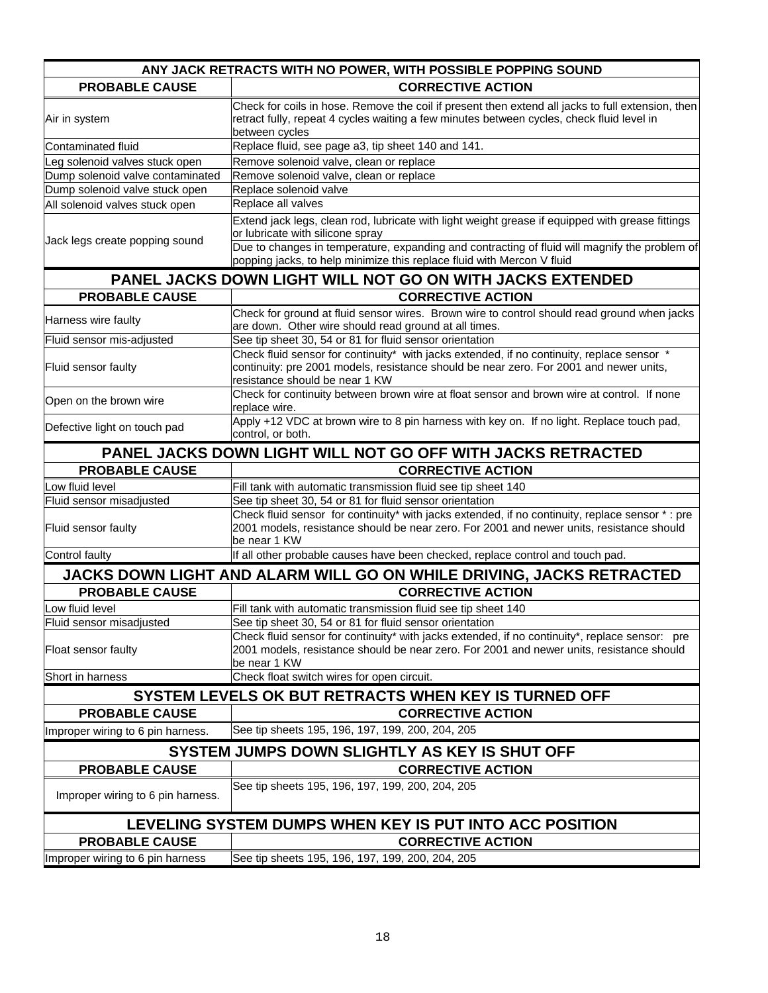|                                                                      | ANY JACK RETRACTS WITH NO POWER, WITH POSSIBLE POPPING SOUND                                                                                                                                                           |  |
|----------------------------------------------------------------------|------------------------------------------------------------------------------------------------------------------------------------------------------------------------------------------------------------------------|--|
| <b>PROBABLE CAUSE</b>                                                | <b>CORRECTIVE ACTION</b>                                                                                                                                                                                               |  |
| Air in system                                                        | Check for coils in hose. Remove the coil if present then extend all jacks to full extension, then<br>retract fully, repeat 4 cycles waiting a few minutes between cycles, check fluid level in<br>between cycles       |  |
| Contaminated fluid                                                   | Replace fluid, see page a3, tip sheet 140 and 141.                                                                                                                                                                     |  |
| Leg solenoid valves stuck open                                       | Remove solenoid valve, clean or replace                                                                                                                                                                                |  |
| Dump solenoid valve contaminated                                     | Remove solenoid valve, clean or replace                                                                                                                                                                                |  |
| Dump solenoid valve stuck open                                       | Replace solenoid valve                                                                                                                                                                                                 |  |
| All solenoid valves stuck open                                       | Replace all valves                                                                                                                                                                                                     |  |
| Jack legs create popping sound                                       | Extend jack legs, clean rod, lubricate with light weight grease if equipped with grease fittings<br>or lubricate with silicone spray                                                                                   |  |
|                                                                      | Due to changes in temperature, expanding and contracting of fluid will magnify the problem of<br>popping jacks, to help minimize this replace fluid with Mercon V fluid                                                |  |
| <b>PANEL JACKS DOWN LIGHT WILL NOT GO ON WITH JACKS EXTENDED</b>     |                                                                                                                                                                                                                        |  |
| <b>PROBABLE CAUSE</b>                                                | <b>CORRECTIVE ACTION</b>                                                                                                                                                                                               |  |
| Harness wire faulty                                                  | Check for ground at fluid sensor wires. Brown wire to control should read ground when jacks<br>are down. Other wire should read ground at all times.                                                                   |  |
| Fluid sensor mis-adjusted                                            | See tip sheet 30, 54 or 81 for fluid sensor orientation                                                                                                                                                                |  |
| Fluid sensor faulty                                                  | Check fluid sensor for continuity* with jacks extended, if no continuity, replace sensor *<br>continuity: pre 2001 models, resistance should be near zero. For 2001 and newer units,<br>resistance should be near 1 KW |  |
| Open on the brown wire                                               | Check for continuity between brown wire at float sensor and brown wire at control. If none<br>replace wire.                                                                                                            |  |
| Defective light on touch pad                                         | Apply +12 VDC at brown wire to 8 pin harness with key on. If no light. Replace touch pad,<br>control, or both.                                                                                                         |  |
| PANEL JACKS DOWN LIGHT WILL NOT GO OFF WITH JACKS RETRACTED          |                                                                                                                                                                                                                        |  |
| <b>PROBABLE CAUSE</b>                                                | <b>CORRECTIVE ACTION</b>                                                                                                                                                                                               |  |
| Low fluid level                                                      | Fill tank with automatic transmission fluid see tip sheet 140                                                                                                                                                          |  |
| Fluid sensor misadjusted                                             | See tip sheet 30, 54 or 81 for fluid sensor orientation                                                                                                                                                                |  |
| Fluid sensor faulty                                                  | Check fluid sensor for continuity* with jacks extended, if no continuity, replace sensor *: pre<br>2001 models, resistance should be near zero. For 2001 and newer units, resistance should<br>be near 1 KW            |  |
| Control faulty                                                       | If all other probable causes have been checked, replace control and touch pad.                                                                                                                                         |  |
| JACKS DOWN LIGHT AND ALARM WILL GO ON WHILE DRIVING, JACKS RETRACTED |                                                                                                                                                                                                                        |  |
| <b>PROBABLE CAUSE</b>                                                | <b>CORRECTIVE ACTION</b>                                                                                                                                                                                               |  |
| Low fluid level                                                      | Fill tank with automatic transmission fluid see tip sheet 140                                                                                                                                                          |  |
| Fluid sensor misadjusted                                             | See tip sheet 30, 54 or 81 for fluid sensor orientation                                                                                                                                                                |  |
| Float sensor faulty                                                  | Check fluid sensor for continuity* with jacks extended, if no continuity*, replace sensor: pre<br>2001 models, resistance should be near zero. For 2001 and newer units, resistance should<br>be near 1 KW             |  |
| Short in harness                                                     | Check float switch wires for open circuit.                                                                                                                                                                             |  |
| SYSTEM LEVELS OK BUT RETRACTS WHEN KEY IS TURNED OFF                 |                                                                                                                                                                                                                        |  |
| <b>PROBABLE CAUSE</b>                                                | <b>CORRECTIVE ACTION</b>                                                                                                                                                                                               |  |
| Improper wiring to 6 pin harness.                                    | See tip sheets 195, 196, 197, 199, 200, 204, 205                                                                                                                                                                       |  |
|                                                                      |                                                                                                                                                                                                                        |  |
| <b>PROBABLE CAUSE</b>                                                | SYSTEM JUMPS DOWN SLIGHTLY AS KEY IS SHUT OFF<br><b>CORRECTIVE ACTION</b>                                                                                                                                              |  |
|                                                                      |                                                                                                                                                                                                                        |  |
| Improper wiring to 6 pin harness.                                    | See tip sheets 195, 196, 197, 199, 200, 204, 205                                                                                                                                                                       |  |
| LEVELING SYSTEM DUMPS WHEN KEY IS PUT INTO ACC POSITION              |                                                                                                                                                                                                                        |  |
| <b>PROBABLE CAUSE</b>                                                | <b>CORRECTIVE ACTION</b>                                                                                                                                                                                               |  |
| Improper wiring to 6 pin harness                                     | See tip sheets 195, 196, 197, 199, 200, 204, 205                                                                                                                                                                       |  |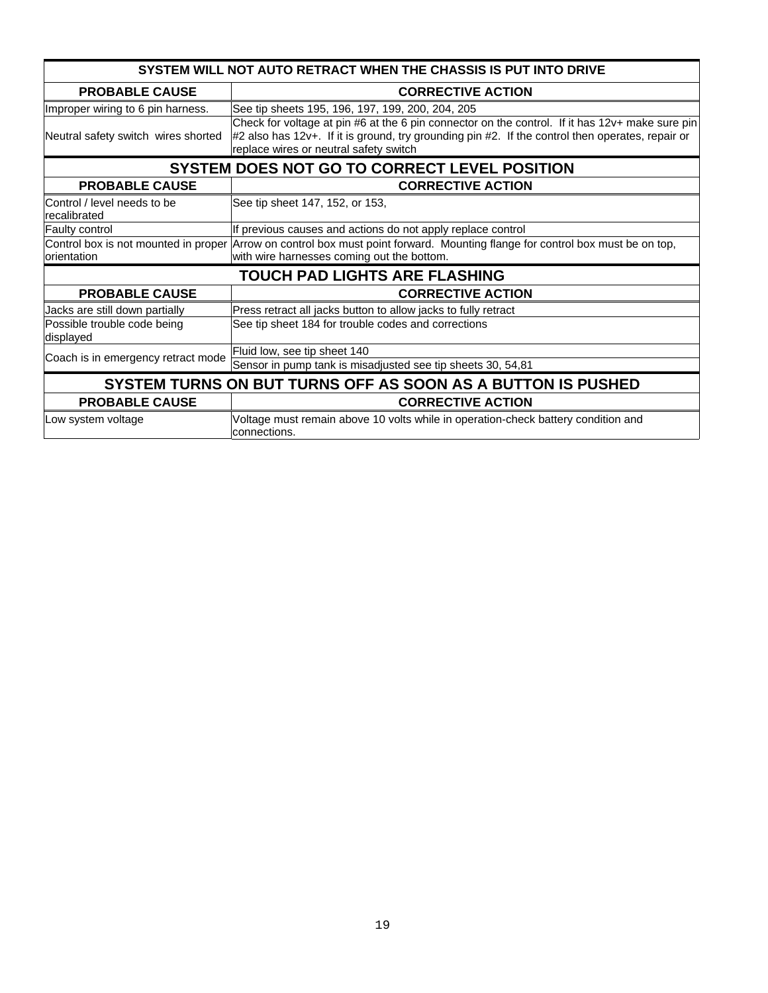| SYSTEM WILL NOT AUTO RETRACT WHEN THE CHASSIS IS PUT INTO DRIVE |                                                                                                                                                                                                                                               |
|-----------------------------------------------------------------|-----------------------------------------------------------------------------------------------------------------------------------------------------------------------------------------------------------------------------------------------|
| <b>PROBABLE CAUSE</b>                                           | <b>CORRECTIVE ACTION</b>                                                                                                                                                                                                                      |
| Improper wiring to 6 pin harness.                               | See tip sheets 195, 196, 197, 199, 200, 204, 205                                                                                                                                                                                              |
| Neutral safety switch wires shorted                             | Check for voltage at pin #6 at the 6 pin connector on the control. If it has 12v+ make sure pin<br>#2 also has 12v+. If it is ground, try grounding pin #2. If the control then operates, repair or<br>replace wires or neutral safety switch |
| SYSTEM DOES NOT GO TO CORRECT LEVEL POSITION                    |                                                                                                                                                                                                                                               |
| <b>PROBABLE CAUSE</b>                                           | <b>CORRECTIVE ACTION</b>                                                                                                                                                                                                                      |
| Control / level needs to be<br>recalibrated                     | See tip sheet 147, 152, or 153,                                                                                                                                                                                                               |
| Faulty control                                                  | If previous causes and actions do not apply replace control                                                                                                                                                                                   |
|                                                                 | Control box is not mounted in proper Arrow on control box must point forward. Mounting flange for control box must be on top,                                                                                                                 |
| orientation                                                     | with wire harnesses coming out the bottom.                                                                                                                                                                                                    |
| <b>TOUCH PAD LIGHTS ARE FLASHING</b>                            |                                                                                                                                                                                                                                               |
| <b>PROBABLE CAUSE</b>                                           | <b>CORRECTIVE ACTION</b>                                                                                                                                                                                                                      |
| Jacks are still down partially                                  | Press retract all jacks button to allow jacks to fully retract                                                                                                                                                                                |
| Possible trouble code being<br>displayed                        | See tip sheet 184 for trouble codes and corrections                                                                                                                                                                                           |
| Coach is in emergency retract mode                              | Fluid low, see tip sheet 140                                                                                                                                                                                                                  |
|                                                                 | Sensor in pump tank is misadjusted see tip sheets 30, 54,81                                                                                                                                                                                   |
| SYSTEM TURNS ON BUT TURNS OFF AS SOON AS A BUTTON IS PUSHED     |                                                                                                                                                                                                                                               |
| <b>PROBABLE CAUSE</b>                                           | <b>CORRECTIVE ACTION</b>                                                                                                                                                                                                                      |
| Low system voltage                                              | Voltage must remain above 10 volts while in operation-check battery condition and<br>connections.                                                                                                                                             |